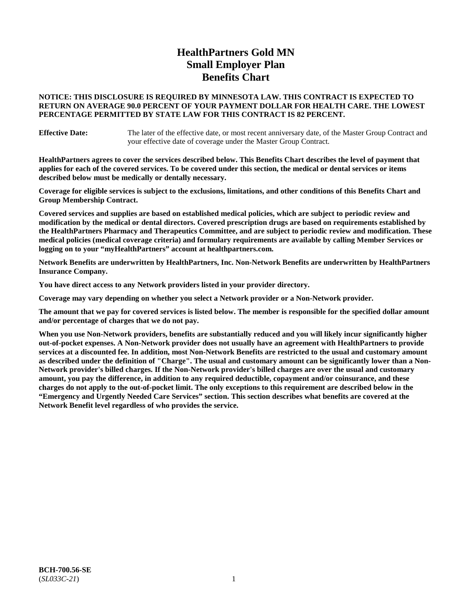# **HealthPartners Gold MN Small Employer Plan Benefits Chart**

### **NOTICE: THIS DISCLOSURE IS REQUIRED BY MINNESOTA LAW. THIS CONTRACT IS EXPECTED TO RETURN ON AVERAGE 90.0 PERCENT OF YOUR PAYMENT DOLLAR FOR HEALTH CARE. THE LOWEST PERCENTAGE PERMITTED BY STATE LAW FOR THIS CONTRACT IS 82 PERCENT.**

**Effective Date:** The later of the effective date, or most recent anniversary date, of the Master Group Contract and your effective date of coverage under the Master Group Contract.

**HealthPartners agrees to cover the services described below. This Benefits Chart describes the level of payment that applies for each of the covered services. To be covered under this section, the medical or dental services or items described below must be medically or dentally necessary.**

**Coverage for eligible services is subject to the exclusions, limitations, and other conditions of this Benefits Chart and Group Membership Contract.**

**Covered services and supplies are based on established medical policies, which are subject to periodic review and modification by the medical or dental directors. Covered prescription drugs are based on requirements established by the HealthPartners Pharmacy and Therapeutics Committee, and are subject to periodic review and modification. These medical policies (medical coverage criteria) and formulary requirements are available by calling Member Services or logging on to your "myHealthPartners" account at [healthpartners.com.](https://www.healthpartners.com/hp/index.html)**

**Network Benefits are underwritten by HealthPartners, Inc. Non-Network Benefits are underwritten by HealthPartners Insurance Company.** 

**You have direct access to any Network providers listed in your provider directory.**

**Coverage may vary depending on whether you select a Network provider or a Non-Network provider.**

**The amount that we pay for covered services is listed below. The member is responsible for the specified dollar amount and/or percentage of charges that we do not pay.**

**When you use Non-Network providers, benefits are substantially reduced and you will likely incur significantly higher out-of-pocket expenses. A Non-Network provider does not usually have an agreement with HealthPartners to provide services at a discounted fee. In addition, most Non-Network Benefits are restricted to the usual and customary amount as described under the definition of "Charge". The usual and customary amount can be significantly lower than a Non-Network provider's billed charges. If the Non-Network provider's billed charges are over the usual and customary amount, you pay the difference, in addition to any required deductible, copayment and/or coinsurance, and these charges do not apply to the out-of-pocket limit. The only exceptions to this requirement are described below in the "Emergency and Urgently Needed Care Services" section. This section describes what benefits are covered at the Network Benefit level regardless of who provides the service.**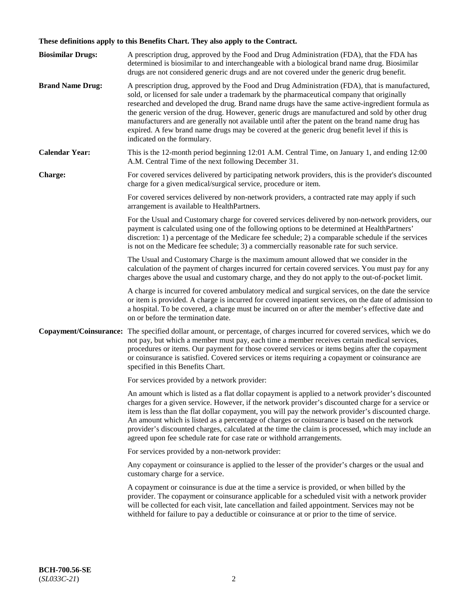# **These definitions apply to this Benefits Chart. They also apply to the Contract.**

| <b>Biosimilar Drugs:</b> | A prescription drug, approved by the Food and Drug Administration (FDA), that the FDA has<br>determined is biosimilar to and interchangeable with a biological brand name drug. Biosimilar<br>drugs are not considered generic drugs and are not covered under the generic drug benefit.                                                                                                                                                                                                                                                                                                                                           |
|--------------------------|------------------------------------------------------------------------------------------------------------------------------------------------------------------------------------------------------------------------------------------------------------------------------------------------------------------------------------------------------------------------------------------------------------------------------------------------------------------------------------------------------------------------------------------------------------------------------------------------------------------------------------|
| <b>Brand Name Drug:</b>  | A prescription drug, approved by the Food and Drug Administration (FDA), that is manufactured,<br>sold, or licensed for sale under a trademark by the pharmaceutical company that originally<br>researched and developed the drug. Brand name drugs have the same active-ingredient formula as<br>the generic version of the drug. However, generic drugs are manufactured and sold by other drug<br>manufacturers and are generally not available until after the patent on the brand name drug has<br>expired. A few brand name drugs may be covered at the generic drug benefit level if this is<br>indicated on the formulary. |
| <b>Calendar Year:</b>    | This is the 12-month period beginning 12:01 A.M. Central Time, on January 1, and ending 12:00<br>A.M. Central Time of the next following December 31.                                                                                                                                                                                                                                                                                                                                                                                                                                                                              |
| <b>Charge:</b>           | For covered services delivered by participating network providers, this is the provider's discounted<br>charge for a given medical/surgical service, procedure or item.                                                                                                                                                                                                                                                                                                                                                                                                                                                            |
|                          | For covered services delivered by non-network providers, a contracted rate may apply if such<br>arrangement is available to HealthPartners.                                                                                                                                                                                                                                                                                                                                                                                                                                                                                        |
|                          | For the Usual and Customary charge for covered services delivered by non-network providers, our<br>payment is calculated using one of the following options to be determined at HealthPartners'<br>discretion: 1) a percentage of the Medicare fee schedule; 2) a comparable schedule if the services<br>is not on the Medicare fee schedule; 3) a commercially reasonable rate for such service.                                                                                                                                                                                                                                  |
|                          | The Usual and Customary Charge is the maximum amount allowed that we consider in the<br>calculation of the payment of charges incurred for certain covered services. You must pay for any<br>charges above the usual and customary charge, and they do not apply to the out-of-pocket limit.                                                                                                                                                                                                                                                                                                                                       |
|                          | A charge is incurred for covered ambulatory medical and surgical services, on the date the service<br>or item is provided. A charge is incurred for covered inpatient services, on the date of admission to<br>a hospital. To be covered, a charge must be incurred on or after the member's effective date and<br>on or before the termination date.                                                                                                                                                                                                                                                                              |
| Copayment/Coinsurance:   | The specified dollar amount, or percentage, of charges incurred for covered services, which we do<br>not pay, but which a member must pay, each time a member receives certain medical services,<br>procedures or items. Our payment for those covered services or items begins after the copayment<br>or coinsurance is satisfied. Covered services or items requiring a copayment or coinsurance are<br>specified in this Benefits Chart.                                                                                                                                                                                        |
|                          | For services provided by a network provider:                                                                                                                                                                                                                                                                                                                                                                                                                                                                                                                                                                                       |
|                          | An amount which is listed as a flat dollar copayment is applied to a network provider's discounted<br>charges for a given service. However, if the network provider's discounted charge for a service or<br>item is less than the flat dollar copayment, you will pay the network provider's discounted charge.<br>An amount which is listed as a percentage of charges or coinsurance is based on the network<br>provider's discounted charges, calculated at the time the claim is processed, which may include an<br>agreed upon fee schedule rate for case rate or withhold arrangements.                                      |
|                          | For services provided by a non-network provider:                                                                                                                                                                                                                                                                                                                                                                                                                                                                                                                                                                                   |
|                          | Any copayment or coinsurance is applied to the lesser of the provider's charges or the usual and<br>customary charge for a service.                                                                                                                                                                                                                                                                                                                                                                                                                                                                                                |
|                          | A copayment or coinsurance is due at the time a service is provided, or when billed by the<br>provider. The copayment or coinsurance applicable for a scheduled visit with a network provider<br>will be collected for each visit, late cancellation and failed appointment. Services may not be<br>withheld for failure to pay a deductible or coinsurance at or prior to the time of service.                                                                                                                                                                                                                                    |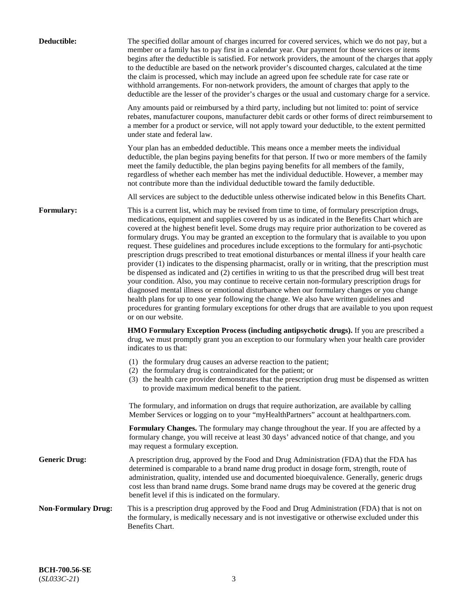| Deductible:                | The specified dollar amount of charges incurred for covered services, which we do not pay, but a<br>member or a family has to pay first in a calendar year. Our payment for those services or items<br>begins after the deductible is satisfied. For network providers, the amount of the charges that apply<br>to the deductible are based on the network provider's discounted charges, calculated at the time<br>the claim is processed, which may include an agreed upon fee schedule rate for case rate or<br>withhold arrangements. For non-network providers, the amount of charges that apply to the<br>deductible are the lesser of the provider's charges or the usual and customary charge for a service.                                                                                                                                                                                                                                                                                                                                                                                                                                                                                                                                             |
|----------------------------|------------------------------------------------------------------------------------------------------------------------------------------------------------------------------------------------------------------------------------------------------------------------------------------------------------------------------------------------------------------------------------------------------------------------------------------------------------------------------------------------------------------------------------------------------------------------------------------------------------------------------------------------------------------------------------------------------------------------------------------------------------------------------------------------------------------------------------------------------------------------------------------------------------------------------------------------------------------------------------------------------------------------------------------------------------------------------------------------------------------------------------------------------------------------------------------------------------------------------------------------------------------|
|                            | Any amounts paid or reimbursed by a third party, including but not limited to: point of service<br>rebates, manufacturer coupons, manufacturer debit cards or other forms of direct reimbursement to<br>a member for a product or service, will not apply toward your deductible, to the extent permitted<br>under state and federal law.                                                                                                                                                                                                                                                                                                                                                                                                                                                                                                                                                                                                                                                                                                                                                                                                                                                                                                                        |
|                            | Your plan has an embedded deductible. This means once a member meets the individual<br>deductible, the plan begins paying benefits for that person. If two or more members of the family<br>meet the family deductible, the plan begins paying benefits for all members of the family,<br>regardless of whether each member has met the individual deductible. However, a member may<br>not contribute more than the individual deductible toward the family deductible.                                                                                                                                                                                                                                                                                                                                                                                                                                                                                                                                                                                                                                                                                                                                                                                         |
|                            | All services are subject to the deductible unless otherwise indicated below in this Benefits Chart.                                                                                                                                                                                                                                                                                                                                                                                                                                                                                                                                                                                                                                                                                                                                                                                                                                                                                                                                                                                                                                                                                                                                                              |
| Formulary:                 | This is a current list, which may be revised from time to time, of formulary prescription drugs,<br>medications, equipment and supplies covered by us as indicated in the Benefits Chart which are<br>covered at the highest benefit level. Some drugs may require prior authorization to be covered as<br>formulary drugs. You may be granted an exception to the formulary that is available to you upon<br>request. These guidelines and procedures include exceptions to the formulary for anti-psychotic<br>prescription drugs prescribed to treat emotional disturbances or mental illness if your health care<br>provider (1) indicates to the dispensing pharmacist, orally or in writing, that the prescription must<br>be dispensed as indicated and (2) certifies in writing to us that the prescribed drug will best treat<br>your condition. Also, you may continue to receive certain non-formulary prescription drugs for<br>diagnosed mental illness or emotional disturbance when our formulary changes or you change<br>health plans for up to one year following the change. We also have written guidelines and<br>procedures for granting formulary exceptions for other drugs that are available to you upon request<br>or on our website. |
|                            | <b>HMO Formulary Exception Process (including antipsychotic drugs).</b> If you are prescribed a<br>drug, we must promptly grant you an exception to our formulary when your health care provider<br>indicates to us that:                                                                                                                                                                                                                                                                                                                                                                                                                                                                                                                                                                                                                                                                                                                                                                                                                                                                                                                                                                                                                                        |
|                            | (1) the formulary drug causes an adverse reaction to the patient;<br>(2) the formulary drug is contraindicated for the patient; or<br>(3) the health care provider demonstrates that the prescription drug must be dispensed as written<br>to provide maximum medical benefit to the patient.                                                                                                                                                                                                                                                                                                                                                                                                                                                                                                                                                                                                                                                                                                                                                                                                                                                                                                                                                                    |
|                            | The formulary, and information on drugs that require authorization, are available by calling<br>Member Services or logging on to your "myHealthPartners" account at healthpartners.com.                                                                                                                                                                                                                                                                                                                                                                                                                                                                                                                                                                                                                                                                                                                                                                                                                                                                                                                                                                                                                                                                          |
|                            | Formulary Changes. The formulary may change throughout the year. If you are affected by a<br>formulary change, you will receive at least 30 days' advanced notice of that change, and you<br>may request a formulary exception.                                                                                                                                                                                                                                                                                                                                                                                                                                                                                                                                                                                                                                                                                                                                                                                                                                                                                                                                                                                                                                  |
| <b>Generic Drug:</b>       | A prescription drug, approved by the Food and Drug Administration (FDA) that the FDA has<br>determined is comparable to a brand name drug product in dosage form, strength, route of<br>administration, quality, intended use and documented bioequivalence. Generally, generic drugs<br>cost less than brand name drugs. Some brand name drugs may be covered at the generic drug<br>benefit level if this is indicated on the formulary.                                                                                                                                                                                                                                                                                                                                                                                                                                                                                                                                                                                                                                                                                                                                                                                                                       |
| <b>Non-Formulary Drug:</b> | This is a prescription drug approved by the Food and Drug Administration (FDA) that is not on<br>the formulary, is medically necessary and is not investigative or otherwise excluded under this<br>Benefits Chart.                                                                                                                                                                                                                                                                                                                                                                                                                                                                                                                                                                                                                                                                                                                                                                                                                                                                                                                                                                                                                                              |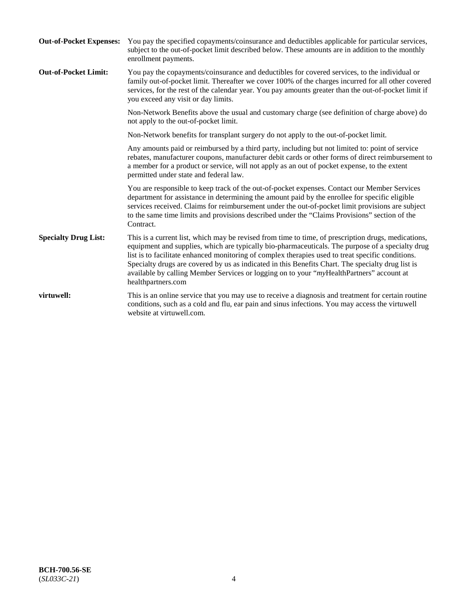| <b>Out-of-Pocket Expenses:</b> | You pay the specified copayments/coinsurance and deductibles applicable for particular services,<br>subject to the out-of-pocket limit described below. These amounts are in addition to the monthly<br>enrollment payments.                                                                                                                                                                                                                                                                                                        |
|--------------------------------|-------------------------------------------------------------------------------------------------------------------------------------------------------------------------------------------------------------------------------------------------------------------------------------------------------------------------------------------------------------------------------------------------------------------------------------------------------------------------------------------------------------------------------------|
| <b>Out-of-Pocket Limit:</b>    | You pay the copayments/coinsurance and deductibles for covered services, to the individual or<br>family out-of-pocket limit. Thereafter we cover 100% of the charges incurred for all other covered<br>services, for the rest of the calendar year. You pay amounts greater than the out-of-pocket limit if<br>you exceed any visit or day limits.                                                                                                                                                                                  |
|                                | Non-Network Benefits above the usual and customary charge (see definition of charge above) do<br>not apply to the out-of-pocket limit.                                                                                                                                                                                                                                                                                                                                                                                              |
|                                | Non-Network benefits for transplant surgery do not apply to the out-of-pocket limit.                                                                                                                                                                                                                                                                                                                                                                                                                                                |
|                                | Any amounts paid or reimbursed by a third party, including but not limited to: point of service<br>rebates, manufacturer coupons, manufacturer debit cards or other forms of direct reimbursement to<br>a member for a product or service, will not apply as an out of pocket expense, to the extent<br>permitted under state and federal law.                                                                                                                                                                                      |
|                                | You are responsible to keep track of the out-of-pocket expenses. Contact our Member Services<br>department for assistance in determining the amount paid by the enrollee for specific eligible<br>services received. Claims for reimbursement under the out-of-pocket limit provisions are subject<br>to the same time limits and provisions described under the "Claims Provisions" section of the<br>Contract.                                                                                                                    |
| <b>Specialty Drug List:</b>    | This is a current list, which may be revised from time to time, of prescription drugs, medications,<br>equipment and supplies, which are typically bio-pharmaceuticals. The purpose of a specialty drug<br>list is to facilitate enhanced monitoring of complex therapies used to treat specific conditions.<br>Specialty drugs are covered by us as indicated in this Benefits Chart. The specialty drug list is<br>available by calling Member Services or logging on to your "myHealthPartners" account at<br>healthpartners.com |
| virtuwell:                     | This is an online service that you may use to receive a diagnosis and treatment for certain routine<br>conditions, such as a cold and flu, ear pain and sinus infections. You may access the virtuwell<br>website at virtuwell.com.                                                                                                                                                                                                                                                                                                 |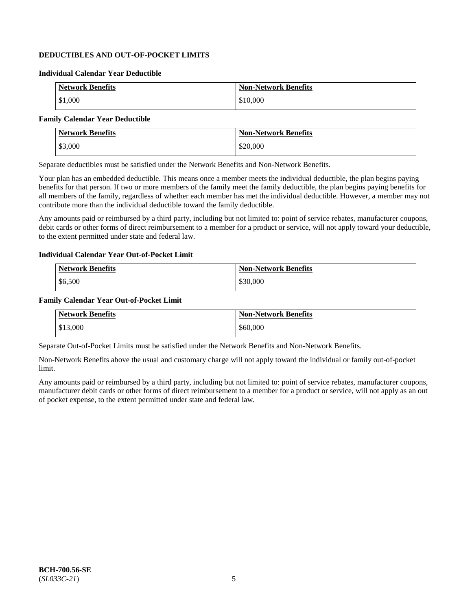## **DEDUCTIBLES AND OUT-OF-POCKET LIMITS**

#### **Individual Calendar Year Deductible**

| <b>Network Benefits</b> | <b>Non-Network Benefits</b> |
|-------------------------|-----------------------------|
| \$1,000                 | \$10,000                    |

### **Family Calendar Year Deductible**

| <b>Network Benefits</b> | <b>Non-Network Benefits</b> |
|-------------------------|-----------------------------|
| \$3,000                 | \$20,000                    |

Separate deductibles must be satisfied under the Network Benefits and Non-Network Benefits.

Your plan has an embedded deductible. This means once a member meets the individual deductible, the plan begins paying benefits for that person. If two or more members of the family meet the family deductible, the plan begins paying benefits for all members of the family, regardless of whether each member has met the individual deductible. However, a member may not contribute more than the individual deductible toward the family deductible.

Any amounts paid or reimbursed by a third party, including but not limited to: point of service rebates, manufacturer coupons, debit cards or other forms of direct reimbursement to a member for a product or service, will not apply toward your deductible, to the extent permitted under state and federal law.

#### **Individual Calendar Year Out-of-Pocket Limit**

| <b>Network Benefits</b> | <b>Non-Network Benefits</b> |
|-------------------------|-----------------------------|
| \$6,500                 | \$30,000                    |

#### **Family Calendar Year Out-of-Pocket Limit**

| <b>Network Benefits</b> | <b>Non-Network Benefits</b> |
|-------------------------|-----------------------------|
| \$13,000                | \$60,000                    |

Separate Out-of-Pocket Limits must be satisfied under the Network Benefits and Non-Network Benefits.

Non-Network Benefits above the usual and customary charge will not apply toward the individual or family out-of-pocket limit.

Any amounts paid or reimbursed by a third party, including but not limited to: point of service rebates, manufacturer coupons, manufacturer debit cards or other forms of direct reimbursement to a member for a product or service, will not apply as an out of pocket expense, to the extent permitted under state and federal law.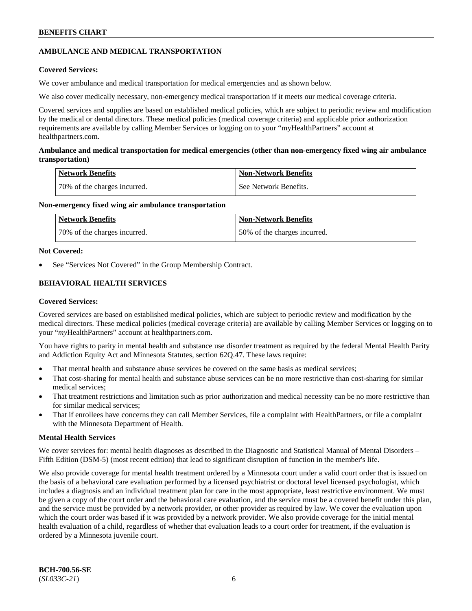## **AMBULANCE AND MEDICAL TRANSPORTATION**

### **Covered Services:**

We cover ambulance and medical transportation for medical emergencies and as shown below.

We also cover medically necessary, non-emergency medical transportation if it meets our medical coverage criteria.

Covered services and supplies are based on established medical policies, which are subject to periodic review and modification by the medical or dental directors. These medical policies (medical coverage criteria) and applicable prior authorization requirements are available by calling Member Services or logging on to your "myHealthPartners" account at [healthpartners.com.](https://www.healthpartners.com/hp/index.html)

### **Ambulance and medical transportation for medical emergencies (other than non-emergency fixed wing air ambulance transportation)**

| Network Benefits             | <b>Non-Network Benefits</b> |
|------------------------------|-----------------------------|
| 70% of the charges incurred. | See Network Benefits.       |

### **Non-emergency fixed wing air ambulance transportation**

| Network Benefits             | <b>Non-Network Benefits</b>  |
|------------------------------|------------------------------|
| 70% of the charges incurred. | 50% of the charges incurred. |

### **Not Covered:**

See "Services Not Covered" in the Group Membership Contract.

## **BEHAVIORAL HEALTH SERVICES**

### **Covered Services:**

Covered services are based on established medical policies, which are subject to periodic review and modification by the medical directors. These medical policies (medical coverage criteria) are available by calling Member Services or logging on to your "*my*HealthPartners" account at [healthpartners.com.](http://www.healthpartners.com/)

You have rights to parity in mental health and substance use disorder treatment as required by the federal Mental Health Parity and Addiction Equity Act and Minnesota Statutes, section 62Q.47. These laws require:

- That mental health and substance abuse services be covered on the same basis as medical services;
- That cost-sharing for mental health and substance abuse services can be no more restrictive than cost-sharing for similar medical services;
- That treatment restrictions and limitation such as prior authorization and medical necessity can be no more restrictive than for similar medical services;
- That if enrollees have concerns they can call Member Services, file a complaint with HealthPartners, or file a complaint with the Minnesota Department of Health.

### **Mental Health Services**

We cover services for: mental health diagnoses as described in the Diagnostic and Statistical Manual of Mental Disorders – Fifth Edition (DSM-5) (most recent edition) that lead to significant disruption of function in the member's life.

We also provide coverage for mental health treatment ordered by a Minnesota court under a valid court order that is issued on the basis of a behavioral care evaluation performed by a licensed psychiatrist or doctoral level licensed psychologist, which includes a diagnosis and an individual treatment plan for care in the most appropriate, least restrictive environment. We must be given a copy of the court order and the behavioral care evaluation, and the service must be a covered benefit under this plan, and the service must be provided by a network provider, or other provider as required by law. We cover the evaluation upon which the court order was based if it was provided by a network provider. We also provide coverage for the initial mental health evaluation of a child, regardless of whether that evaluation leads to a court order for treatment, if the evaluation is ordered by a Minnesota juvenile court.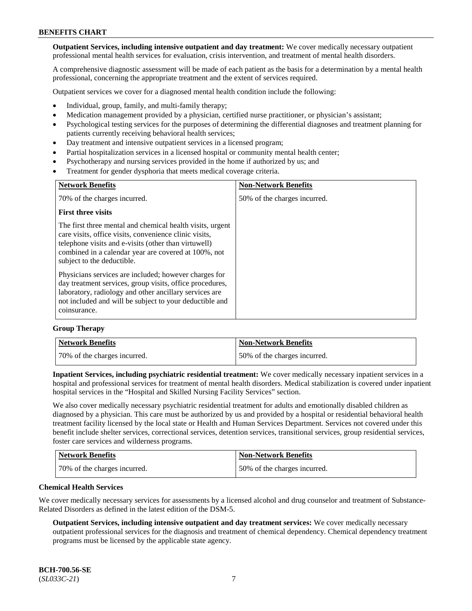**Outpatient Services, including intensive outpatient and day treatment:** We cover medically necessary outpatient professional mental health services for evaluation, crisis intervention, and treatment of mental health disorders.

A comprehensive diagnostic assessment will be made of each patient as the basis for a determination by a mental health professional, concerning the appropriate treatment and the extent of services required.

Outpatient services we cover for a diagnosed mental health condition include the following:

- Individual, group, family, and multi-family therapy;
- Medication management provided by a physician, certified nurse practitioner, or physician's assistant;
- Psychological testing services for the purposes of determining the differential diagnoses and treatment planning for patients currently receiving behavioral health services;
- Day treatment and intensive outpatient services in a licensed program;
- Partial hospitalization services in a licensed hospital or community mental health center;
- Psychotherapy and nursing services provided in the home if authorized by us; and
- Treatment for gender dysphoria that meets medical coverage criteria.

| <b>Network Benefits</b>                                                                                                                                                                                                                                           | <b>Non-Network Benefits</b>  |
|-------------------------------------------------------------------------------------------------------------------------------------------------------------------------------------------------------------------------------------------------------------------|------------------------------|
| 70% of the charges incurred.                                                                                                                                                                                                                                      | 50% of the charges incurred. |
| <b>First three visits</b>                                                                                                                                                                                                                                         |                              |
| The first three mental and chemical health visits, urgent<br>care visits, office visits, convenience clinic visits,<br>telephone visits and e-visits (other than virtuwell)<br>combined in a calendar year are covered at 100%, not<br>subject to the deductible. |                              |
| Physicians services are included; however charges for<br>day treatment services, group visits, office procedures,<br>laboratory, radiology and other ancillary services are<br>not included and will be subject to your deductible and<br>coinsurance.            |                              |

#### **Group Therapy**

| Network Benefits             | <b>Non-Network Benefits</b>  |
|------------------------------|------------------------------|
| 70% of the charges incurred. | 50% of the charges incurred. |

**Inpatient Services, including psychiatric residential treatment:** We cover medically necessary inpatient services in a hospital and professional services for treatment of mental health disorders. Medical stabilization is covered under inpatient hospital services in the "Hospital and Skilled Nursing Facility Services" section.

We also cover medically necessary psychiatric residential treatment for adults and emotionally disabled children as diagnosed by a physician. This care must be authorized by us and provided by a hospital or residential behavioral health treatment facility licensed by the local state or Health and Human Services Department. Services not covered under this benefit include shelter services, correctional services, detention services, transitional services, group residential services, foster care services and wilderness programs.

| <b>Network Benefits</b>      | <b>Non-Network Benefits</b>  |
|------------------------------|------------------------------|
| 70% of the charges incurred. | 50% of the charges incurred. |

#### **Chemical Health Services**

We cover medically necessary services for assessments by a licensed alcohol and drug counselor and treatment of Substance-Related Disorders as defined in the latest edition of the DSM-5.

**Outpatient Services, including intensive outpatient and day treatment services:** We cover medically necessary outpatient professional services for the diagnosis and treatment of chemical dependency. Chemical dependency treatment programs must be licensed by the applicable state agency.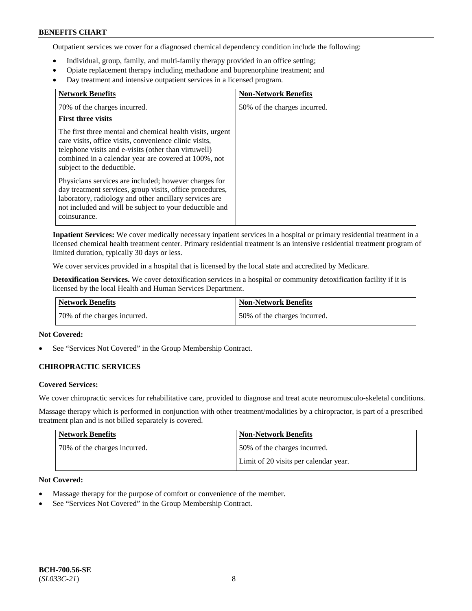Outpatient services we cover for a diagnosed chemical dependency condition include the following:

- Individual, group, family, and multi-family therapy provided in an office setting;
- Opiate replacement therapy including methadone and buprenorphine treatment; and
- Day treatment and intensive outpatient services in a licensed program.

| <b>Network Benefits</b>                                                                                                                                                                                                                                           | <b>Non-Network Benefits</b>  |
|-------------------------------------------------------------------------------------------------------------------------------------------------------------------------------------------------------------------------------------------------------------------|------------------------------|
| 70% of the charges incurred.                                                                                                                                                                                                                                      | 50% of the charges incurred. |
| <b>First three visits</b>                                                                                                                                                                                                                                         |                              |
| The first three mental and chemical health visits, urgent<br>care visits, office visits, convenience clinic visits,<br>telephone visits and e-visits (other than virtuwell)<br>combined in a calendar year are covered at 100%, not<br>subject to the deductible. |                              |
| Physicians services are included; however charges for<br>day treatment services, group visits, office procedures,<br>laboratory, radiology and other ancillary services are<br>not included and will be subject to your deductible and<br>coinsurance.            |                              |

**Inpatient Services:** We cover medically necessary inpatient services in a hospital or primary residential treatment in a licensed chemical health treatment center. Primary residential treatment is an intensive residential treatment program of limited duration, typically 30 days or less.

We cover services provided in a hospital that is licensed by the local state and accredited by Medicare.

**Detoxification Services.** We cover detoxification services in a hospital or community detoxification facility if it is licensed by the local Health and Human Services Department.

| <b>Network Benefits</b>      | Non-Network Benefits         |
|------------------------------|------------------------------|
| 70% of the charges incurred. | 50% of the charges incurred. |

### **Not Covered:**

See "Services Not Covered" in the Group Membership Contract.

### **CHIROPRACTIC SERVICES**

### **Covered Services:**

We cover chiropractic services for rehabilitative care, provided to diagnose and treat acute neuromusculo-skeletal conditions.

Massage therapy which is performed in conjunction with other treatment/modalities by a chiropractor, is part of a prescribed treatment plan and is not billed separately is covered.

| <b>Network Benefits</b>      | <b>Non-Network Benefits</b>           |
|------------------------------|---------------------------------------|
| 70% of the charges incurred. | 50% of the charges incurred.          |
|                              | Limit of 20 visits per calendar year. |

### **Not Covered:**

- Massage therapy for the purpose of comfort or convenience of the member.
- See "Services Not Covered" in the Group Membership Contract.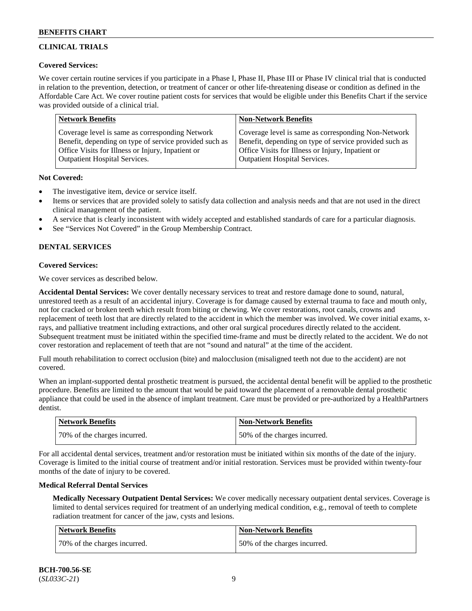## **CLINICAL TRIALS**

### **Covered Services:**

We cover certain routine services if you participate in a Phase I, Phase II, Phase III or Phase IV clinical trial that is conducted in relation to the prevention, detection, or treatment of cancer or other life-threatening disease or condition as defined in the Affordable Care Act. We cover routine patient costs for services that would be eligible under this Benefits Chart if the service was provided outside of a clinical trial.

| <b>Network Benefits</b>                                | <b>Non-Network Benefits</b>                            |
|--------------------------------------------------------|--------------------------------------------------------|
| Coverage level is same as corresponding Network        | Coverage level is same as corresponding Non-Network    |
| Benefit, depending on type of service provided such as | Benefit, depending on type of service provided such as |
| Office Visits for Illness or Injury, Inpatient or      | Office Visits for Illness or Injury, Inpatient or      |
| <b>Outpatient Hospital Services.</b>                   | Outpatient Hospital Services.                          |

### **Not Covered:**

- The investigative item, device or service itself.
- Items or services that are provided solely to satisfy data collection and analysis needs and that are not used in the direct clinical management of the patient.
- A service that is clearly inconsistent with widely accepted and established standards of care for a particular diagnosis.
- See "Services Not Covered" in the Group Membership Contract.

## **DENTAL SERVICES**

## **Covered Services:**

We cover services as described below.

**Accidental Dental Services:** We cover dentally necessary services to treat and restore damage done to sound, natural, unrestored teeth as a result of an accidental injury. Coverage is for damage caused by external trauma to face and mouth only, not for cracked or broken teeth which result from biting or chewing. We cover restorations, root canals, crowns and replacement of teeth lost that are directly related to the accident in which the member was involved. We cover initial exams, xrays, and palliative treatment including extractions, and other oral surgical procedures directly related to the accident. Subsequent treatment must be initiated within the specified time-frame and must be directly related to the accident. We do not cover restoration and replacement of teeth that are not "sound and natural" at the time of the accident.

Full mouth rehabilitation to correct occlusion (bite) and malocclusion (misaligned teeth not due to the accident) are not covered.

When an implant-supported dental prosthetic treatment is pursued, the accidental dental benefit will be applied to the prosthetic procedure. Benefits are limited to the amount that would be paid toward the placement of a removable dental prosthetic appliance that could be used in the absence of implant treatment. Care must be provided or pre-authorized by a HealthPartners dentist.

| <b>Network Benefits</b>      | <b>Non-Network Benefits</b>  |
|------------------------------|------------------------------|
| 70% of the charges incurred. | 50% of the charges incurred. |

For all accidental dental services, treatment and/or restoration must be initiated within six months of the date of the injury. Coverage is limited to the initial course of treatment and/or initial restoration. Services must be provided within twenty-four months of the date of injury to be covered.

### **Medical Referral Dental Services**

**Medically Necessary Outpatient Dental Services:** We cover medically necessary outpatient dental services. Coverage is limited to dental services required for treatment of an underlying medical condition, e.g., removal of teeth to complete radiation treatment for cancer of the jaw, cysts and lesions.

| Network Benefits             | <b>Non-Network Benefits</b>  |
|------------------------------|------------------------------|
| 70% of the charges incurred. | 50% of the charges incurred. |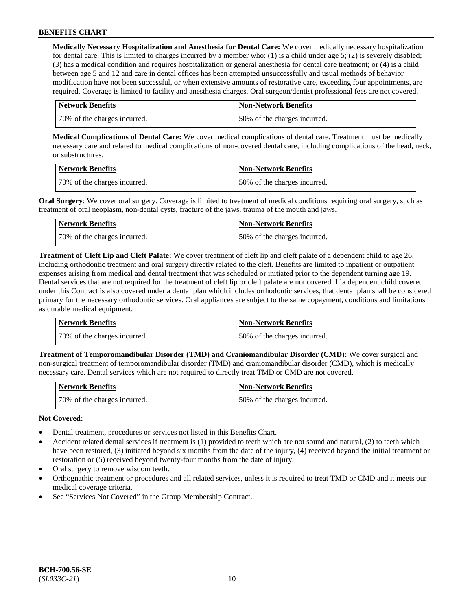**Medically Necessary Hospitalization and Anesthesia for Dental Care:** We cover medically necessary hospitalization for dental care. This is limited to charges incurred by a member who: (1) is a child under age  $5$ ; (2) is severely disabled; (3) has a medical condition and requires hospitalization or general anesthesia for dental care treatment; or (4) is a child between age 5 and 12 and care in dental offices has been attempted unsuccessfully and usual methods of behavior modification have not been successful, or when extensive amounts of restorative care, exceeding four appointments, are required. Coverage is limited to facility and anesthesia charges. Oral surgeon/dentist professional fees are not covered.

| <b>Network Benefits</b>      | <b>Non-Network Benefits</b>  |
|------------------------------|------------------------------|
| 70% of the charges incurred. | 50% of the charges incurred. |

**Medical Complications of Dental Care:** We cover medical complications of dental care. Treatment must be medically necessary care and related to medical complications of non-covered dental care, including complications of the head, neck, or substructures.

| Network Benefits             | Non-Network Benefits         |
|------------------------------|------------------------------|
| 70% of the charges incurred. | 50% of the charges incurred. |

**Oral Surgery**: We cover oral surgery. Coverage is limited to treatment of medical conditions requiring oral surgery, such as treatment of oral neoplasm, non-dental cysts, fracture of the jaws, trauma of the mouth and jaws.

| Network Benefits             | <b>Non-Network Benefits</b>  |
|------------------------------|------------------------------|
| 70% of the charges incurred. | 50% of the charges incurred. |

**Treatment of Cleft Lip and Cleft Palate:** We cover treatment of cleft lip and cleft palate of a dependent child to age 26, including orthodontic treatment and oral surgery directly related to the cleft. Benefits are limited to inpatient or outpatient expenses arising from medical and dental treatment that was scheduled or initiated prior to the dependent turning age 19. Dental services that are not required for the treatment of cleft lip or cleft palate are not covered. If a dependent child covered under this Contract is also covered under a dental plan which includes orthodontic services, that dental plan shall be considered primary for the necessary orthodontic services. Oral appliances are subject to the same copayment, conditions and limitations as durable medical equipment.

| Network Benefits             | Non-Network Benefits         |
|------------------------------|------------------------------|
| 70% of the charges incurred. | 50% of the charges incurred. |

**Treatment of Temporomandibular Disorder (TMD) and Craniomandibular Disorder (CMD):** We cover surgical and non-surgical treatment of temporomandibular disorder (TMD) and craniomandibular disorder (CMD), which is medically necessary care. Dental services which are not required to directly treat TMD or CMD are not covered.

| <b>Network Benefits</b>      | Non-Network Benefits         |
|------------------------------|------------------------------|
| 70% of the charges incurred. | 50% of the charges incurred. |

### **Not Covered:**

- Dental treatment, procedures or services not listed in this Benefits Chart.
- Accident related dental services if treatment is (1) provided to teeth which are not sound and natural, (2) to teeth which have been restored, (3) initiated beyond six months from the date of the injury, (4) received beyond the initial treatment or restoration or (5) received beyond twenty-four months from the date of injury.
- Oral surgery to remove wisdom teeth.
- Orthognathic treatment or procedures and all related services, unless it is required to treat TMD or CMD and it meets our medical coverage criteria.
- See "Services Not Covered" in the Group Membership Contract.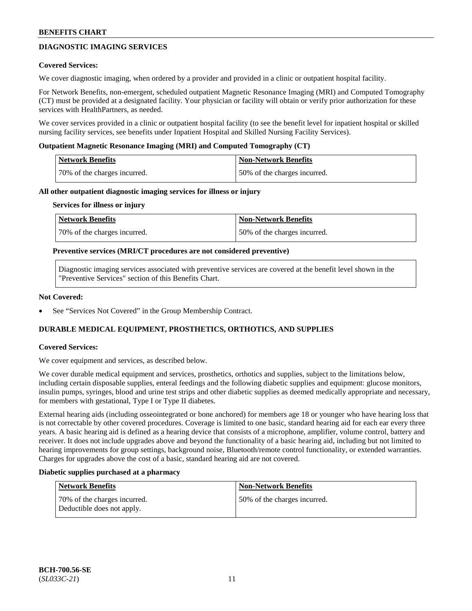## **DIAGNOSTIC IMAGING SERVICES**

#### **Covered Services:**

We cover diagnostic imaging, when ordered by a provider and provided in a clinic or outpatient hospital facility.

For Network Benefits, non-emergent, scheduled outpatient Magnetic Resonance Imaging (MRI) and Computed Tomography (CT) must be provided at a designated facility. Your physician or facility will obtain or verify prior authorization for these services with HealthPartners, as needed.

We cover services provided in a clinic or outpatient hospital facility (to see the benefit level for inpatient hospital or skilled nursing facility services, see benefits under Inpatient Hospital and Skilled Nursing Facility Services).

#### **Outpatient Magnetic Resonance Imaging (MRI) and Computed Tomography (CT)**

| Network Benefits             | <b>Non-Network Benefits</b>  |
|------------------------------|------------------------------|
| 70% of the charges incurred. | 50% of the charges incurred. |

#### **All other outpatient diagnostic imaging services for illness or injury**

#### **Services for illness or injury**

| Network Benefits             | <b>Non-Network Benefits</b>  |
|------------------------------|------------------------------|
| 70% of the charges incurred. | 50% of the charges incurred. |

#### **Preventive services (MRI/CT procedures are not considered preventive)**

Diagnostic imaging services associated with preventive services are covered at the benefit level shown in the "Preventive Services" section of this Benefits Chart.

#### **Not Covered:**

See "Services Not Covered" in the Group Membership Contract.

### **DURABLE MEDICAL EQUIPMENT, PROSTHETICS, ORTHOTICS, AND SUPPLIES**

### **Covered Services:**

We cover equipment and services, as described below.

We cover durable medical equipment and services, prosthetics, orthotics and supplies, subject to the limitations below, including certain disposable supplies, enteral feedings and the following diabetic supplies and equipment: glucose monitors, insulin pumps, syringes, blood and urine test strips and other diabetic supplies as deemed medically appropriate and necessary, for members with gestational, Type I or Type II diabetes.

External hearing aids (including osseointegrated or bone anchored) for members age 18 or younger who have hearing loss that is not correctable by other covered procedures. Coverage is limited to one basic, standard hearing aid for each ear every three years. A basic hearing aid is defined as a hearing device that consists of a microphone, amplifier, volume control, battery and receiver. It does not include upgrades above and beyond the functionality of a basic hearing aid, including but not limited to hearing improvements for group settings, background noise, Bluetooth/remote control functionality, or extended warranties. Charges for upgrades above the cost of a basic, standard hearing aid are not covered.

#### **Diabetic supplies purchased at a pharmacy**

| <b>Network Benefits</b>                                    | <b>Non-Network Benefits</b>  |
|------------------------------------------------------------|------------------------------|
| 70% of the charges incurred.<br>Deductible does not apply. | 50% of the charges incurred. |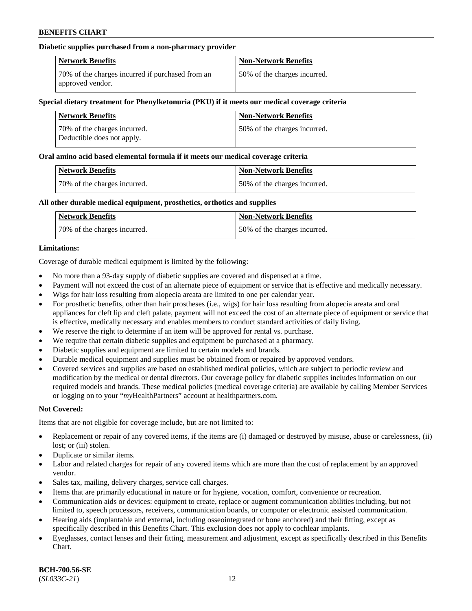### **Diabetic supplies purchased from a non-pharmacy provider**

| <b>Network Benefits</b>                                              | <b>Non-Network Benefits</b>  |
|----------------------------------------------------------------------|------------------------------|
| 70% of the charges incurred if purchased from an<br>approved vendor. | 50% of the charges incurred. |

#### **Special dietary treatment for Phenylketonuria (PKU) if it meets our medical coverage criteria**

| <b>Network Benefits</b>                                     | <b>Non-Network Benefits</b>  |
|-------------------------------------------------------------|------------------------------|
| 70\% of the charges incurred.<br>Deductible does not apply. | 50% of the charges incurred. |

#### **Oral amino acid based elemental formula if it meets our medical coverage criteria**

| <b>Network Benefits</b>      | <b>Non-Network Benefits</b>  |
|------------------------------|------------------------------|
| 70% of the charges incurred. | 50% of the charges incurred. |

### **All other durable medical equipment, prosthetics, orthotics and supplies**

| <b>Network Benefits</b>      | <b>Non-Network Benefits</b>  |
|------------------------------|------------------------------|
| 70% of the charges incurred. | 50% of the charges incurred. |

### **Limitations:**

Coverage of durable medical equipment is limited by the following:

- No more than a 93-day supply of diabetic supplies are covered and dispensed at a time.
- Payment will not exceed the cost of an alternate piece of equipment or service that is effective and medically necessary.
- Wigs for hair loss resulting from alopecia areata are limited to one per calendar year.
- For prosthetic benefits, other than hair prostheses (i.e., wigs) for hair loss resulting from alopecia areata and oral appliances for cleft lip and cleft palate, payment will not exceed the cost of an alternate piece of equipment or service that is effective, medically necessary and enables members to conduct standard activities of daily living.
- We reserve the right to determine if an item will be approved for rental vs. purchase.
- We require that certain diabetic supplies and equipment be purchased at a pharmacy.
- Diabetic supplies and equipment are limited to certain models and brands.
- Durable medical equipment and supplies must be obtained from or repaired by approved vendors.
- Covered services and supplies are based on established medical policies, which are subject to periodic review and modification by the medical or dental directors. Our coverage policy for diabetic supplies includes information on our required models and brands. These medical policies (medical coverage criteria) are available by calling Member Services or logging on to your "*my*HealthPartners" account a[t healthpartners.com.](https://www.healthpartners.com/hp/index.html)

### **Not Covered:**

Items that are not eligible for coverage include, but are not limited to:

- Replacement or repair of any covered items, if the items are (i) damaged or destroyed by misuse, abuse or carelessness, (ii) lost; or (iii) stolen.
- Duplicate or similar items.
- Labor and related charges for repair of any covered items which are more than the cost of replacement by an approved vendor.
- Sales tax, mailing, delivery charges, service call charges.
- Items that are primarily educational in nature or for hygiene, vocation, comfort, convenience or recreation.
- Communication aids or devices: equipment to create, replace or augment communication abilities including, but not limited to, speech processors, receivers, communication boards, or computer or electronic assisted communication.
- Hearing aids (implantable and external, including osseointegrated or bone anchored) and their fitting, except as specifically described in this Benefits Chart. This exclusion does not apply to cochlear implants.
- Eyeglasses, contact lenses and their fitting, measurement and adjustment, except as specifically described in this Benefits Chart.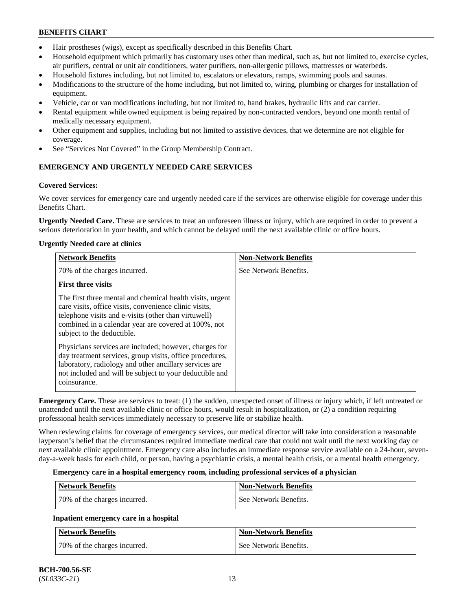- Hair prostheses (wigs), except as specifically described in this Benefits Chart.
- Household equipment which primarily has customary uses other than medical, such as, but not limited to, exercise cycles, air purifiers, central or unit air conditioners, water purifiers, non-allergenic pillows, mattresses or waterbeds.
- Household fixtures including, but not limited to, escalators or elevators, ramps, swimming pools and saunas.
- Modifications to the structure of the home including, but not limited to, wiring, plumbing or charges for installation of equipment.
- Vehicle, car or van modifications including, but not limited to, hand brakes, hydraulic lifts and car carrier.
- Rental equipment while owned equipment is being repaired by non-contracted vendors, beyond one month rental of medically necessary equipment.
- Other equipment and supplies, including but not limited to assistive devices, that we determine are not eligible for coverage.
- See "Services Not Covered" in the Group Membership Contract.

## **EMERGENCY AND URGENTLY NEEDED CARE SERVICES**

## **Covered Services:**

We cover services for emergency care and urgently needed care if the services are otherwise eligible for coverage under this Benefits Chart.

**Urgently Needed Care.** These are services to treat an unforeseen illness or injury, which are required in order to prevent a serious deterioration in your health, and which cannot be delayed until the next available clinic or office hours.

## **Urgently Needed care at clinics**

| <b>Network Benefits</b>                                                                                                                                                                                                                                           | <b>Non-Network Benefits</b> |
|-------------------------------------------------------------------------------------------------------------------------------------------------------------------------------------------------------------------------------------------------------------------|-----------------------------|
| 70% of the charges incurred.                                                                                                                                                                                                                                      | See Network Benefits.       |
| <b>First three visits</b>                                                                                                                                                                                                                                         |                             |
| The first three mental and chemical health visits, urgent<br>care visits, office visits, convenience clinic visits,<br>telephone visits and e-visits (other than virtuwell)<br>combined in a calendar year are covered at 100%, not<br>subject to the deductible. |                             |
| Physicians services are included; however, charges for<br>day treatment services, group visits, office procedures,<br>laboratory, radiology and other ancillary services are<br>not included and will be subject to your deductible and<br>coinsurance.           |                             |

**Emergency Care.** These are services to treat: (1) the sudden, unexpected onset of illness or injury which, if left untreated or unattended until the next available clinic or office hours, would result in hospitalization, or (2) a condition requiring professional health services immediately necessary to preserve life or stabilize health.

When reviewing claims for coverage of emergency services, our medical director will take into consideration a reasonable layperson's belief that the circumstances required immediate medical care that could not wait until the next working day or next available clinic appointment. Emergency care also includes an immediate response service available on a 24-hour, sevenday-a-week basis for each child, or person, having a psychiatric crisis, a mental health crisis, or a mental health emergency.

### **Emergency care in a hospital emergency room, including professional services of a physician**

| Network Benefits             | <b>Non-Network Benefits</b> |
|------------------------------|-----------------------------|
| 70% of the charges incurred. | See Network Benefits.       |

## **Inpatient emergency care in a hospital**

| Network Benefits             | <b>Non-Network Benefits</b> |
|------------------------------|-----------------------------|
| 70% of the charges incurred. | See Network Benefits.       |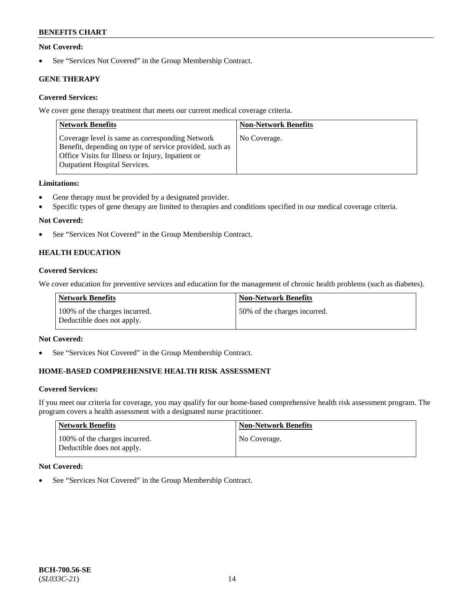### **Not Covered:**

• See "Services Not Covered" in the Group Membership Contract.

## **GENE THERAPY**

## **Covered Services:**

We cover gene therapy treatment that meets our current medical coverage criteria.

| <b>Network Benefits</b>                                                                                                                                                                                 | <b>Non-Network Benefits</b> |
|---------------------------------------------------------------------------------------------------------------------------------------------------------------------------------------------------------|-----------------------------|
| Coverage level is same as corresponding Network<br>Benefit, depending on type of service provided, such as<br>Office Visits for Illness or Injury, Inpatient or<br><b>Outpatient Hospital Services.</b> | No Coverage.                |

### **Limitations:**

- Gene therapy must be provided by a designated provider.
- Specific types of gene therapy are limited to therapies and conditions specified in our medical coverage criteria.

## **Not Covered:**

• See "Services Not Covered" in the Group Membership Contract.

## **HEALTH EDUCATION**

### **Covered Services:**

We cover education for preventive services and education for the management of chronic health problems (such as diabetes).

| Network Benefits                                            | <b>Non-Network Benefits</b>  |
|-------------------------------------------------------------|------------------------------|
| 100% of the charges incurred.<br>Deductible does not apply. | 50% of the charges incurred. |

### **Not Covered:**

• See "Services Not Covered" in the Group Membership Contract.

## **HOME-BASED COMPREHENSIVE HEALTH RISK ASSESSMENT**

### **Covered Services:**

If you meet our criteria for coverage, you may qualify for our home-based comprehensive health risk assessment program. The program covers a health assessment with a designated nurse practitioner.

| Network Benefits                                            | <b>Non-Network Benefits</b> |
|-------------------------------------------------------------|-----------------------------|
| 100% of the charges incurred.<br>Deductible does not apply. | No Coverage.                |

### **Not Covered:**

• See "Services Not Covered" in the Group Membership Contract.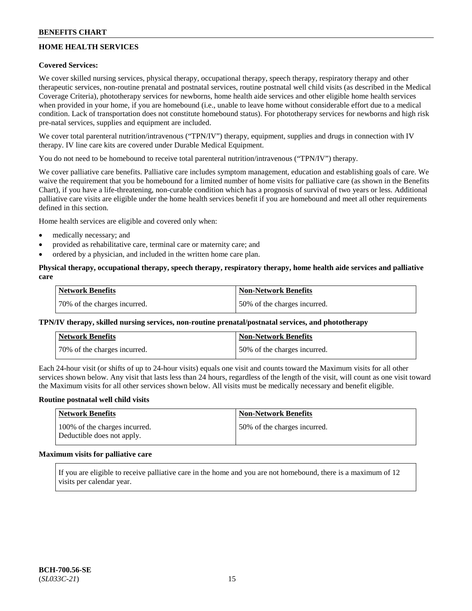## **HOME HEALTH SERVICES**

### **Covered Services:**

We cover skilled nursing services, physical therapy, occupational therapy, speech therapy, respiratory therapy and other therapeutic services, non-routine prenatal and postnatal services, routine postnatal well child visits (as described in the Medical Coverage Criteria), phototherapy services for newborns, home health aide services and other eligible home health services when provided in your home, if you are homebound (i.e., unable to leave home without considerable effort due to a medical condition. Lack of transportation does not constitute homebound status). For phototherapy services for newborns and high risk pre-natal services, supplies and equipment are included.

We cover total parenteral nutrition/intravenous ("TPN/IV") therapy, equipment, supplies and drugs in connection with IV therapy. IV line care kits are covered under Durable Medical Equipment.

You do not need to be homebound to receive total parenteral nutrition/intravenous ("TPN/IV") therapy.

We cover palliative care benefits. Palliative care includes symptom management, education and establishing goals of care. We waive the requirement that you be homebound for a limited number of home visits for palliative care (as shown in the Benefits Chart), if you have a life-threatening, non-curable condition which has a prognosis of survival of two years or less. Additional palliative care visits are eligible under the home health services benefit if you are homebound and meet all other requirements defined in this section.

Home health services are eligible and covered only when:

- medically necessary; and
- provided as rehabilitative care, terminal care or maternity care; and
- ordered by a physician, and included in the written home care plan.

### **Physical therapy, occupational therapy, speech therapy, respiratory therapy, home health aide services and palliative care**

| <b>Network Benefits</b>      | <b>Non-Network Benefits</b>  |
|------------------------------|------------------------------|
| 70% of the charges incurred. | 50% of the charges incurred. |

### **TPN/IV therapy, skilled nursing services, non-routine prenatal/postnatal services, and phototherapy**

| <b>Network Benefits</b>       | <b>Non-Network Benefits</b>  |
|-------------------------------|------------------------------|
| 170% of the charges incurred. | 50% of the charges incurred. |

Each 24-hour visit (or shifts of up to 24-hour visits) equals one visit and counts toward the Maximum visits for all other services shown below. Any visit that lasts less than 24 hours, regardless of the length of the visit, will count as one visit toward the Maximum visits for all other services shown below. All visits must be medically necessary and benefit eligible.

#### **Routine postnatal well child visits**

| Network Benefits                                            | <b>Non-Network Benefits</b>  |
|-------------------------------------------------------------|------------------------------|
| 100% of the charges incurred.<br>Deductible does not apply. | 50% of the charges incurred. |

## **Maximum visits for palliative care**

If you are eligible to receive palliative care in the home and you are not homebound, there is a maximum of 12 visits per calendar year.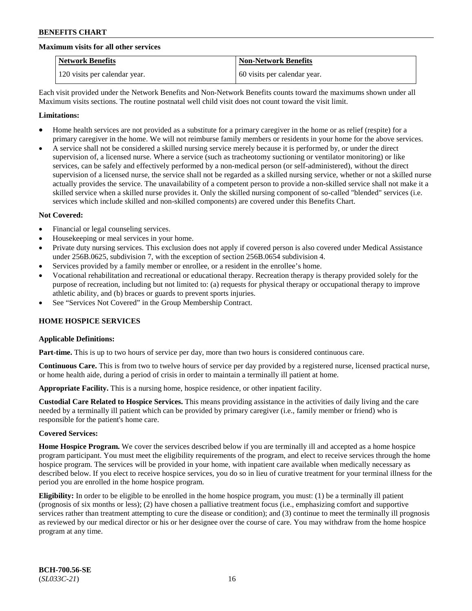#### **Maximum visits for all other services**

| <b>Network Benefits</b>       | <b>Non-Network Benefits</b>  |
|-------------------------------|------------------------------|
| 120 visits per calendar year. | 60 visits per calendar year. |

Each visit provided under the Network Benefits and Non-Network Benefits counts toward the maximums shown under all Maximum visits sections. The routine postnatal well child visit does not count toward the visit limit.

#### **Limitations:**

- Home health services are not provided as a substitute for a primary caregiver in the home or as relief (respite) for a primary caregiver in the home. We will not reimburse family members or residents in your home for the above services.
- A service shall not be considered a skilled nursing service merely because it is performed by, or under the direct supervision of, a licensed nurse. Where a service (such as tracheotomy suctioning or ventilator monitoring) or like services, can be safely and effectively performed by a non-medical person (or self-administered), without the direct supervision of a licensed nurse, the service shall not be regarded as a skilled nursing service, whether or not a skilled nurse actually provides the service. The unavailability of a competent person to provide a non-skilled service shall not make it a skilled service when a skilled nurse provides it. Only the skilled nursing component of so-called "blended" services (i.e. services which include skilled and non-skilled components) are covered under this Benefits Chart.

#### **Not Covered:**

- Financial or legal counseling services.
- Housekeeping or meal services in your home.
- Private duty nursing services. This exclusion does not apply if covered person is also covered under Medical Assistance under 256B.0625, subdivision 7, with the exception of section 256B.0654 subdivision 4.
- Services provided by a family member or enrollee, or a resident in the enrollee's home.
- Vocational rehabilitation and recreational or educational therapy. Recreation therapy is therapy provided solely for the purpose of recreation, including but not limited to: (a) requests for physical therapy or occupational therapy to improve athletic ability, and (b) braces or guards to prevent sports injuries.
- See "Services Not Covered" in the Group Membership Contract.

### **HOME HOSPICE SERVICES**

### **Applicable Definitions:**

**Part-time.** This is up to two hours of service per day, more than two hours is considered continuous care.

**Continuous Care.** This is from two to twelve hours of service per day provided by a registered nurse, licensed practical nurse, or home health aide, during a period of crisis in order to maintain a terminally ill patient at home.

**Appropriate Facility.** This is a nursing home, hospice residence, or other inpatient facility.

**Custodial Care Related to Hospice Services.** This means providing assistance in the activities of daily living and the care needed by a terminally ill patient which can be provided by primary caregiver (i.e., family member or friend) who is responsible for the patient's home care.

#### **Covered Services:**

**Home Hospice Program.** We cover the services described below if you are terminally ill and accepted as a home hospice program participant. You must meet the eligibility requirements of the program, and elect to receive services through the home hospice program. The services will be provided in your home, with inpatient care available when medically necessary as described below. If you elect to receive hospice services, you do so in lieu of curative treatment for your terminal illness for the period you are enrolled in the home hospice program.

**Eligibility:** In order to be eligible to be enrolled in the home hospice program, you must: (1) be a terminally ill patient (prognosis of six months or less); (2) have chosen a palliative treatment focus (i.e., emphasizing comfort and supportive services rather than treatment attempting to cure the disease or condition); and (3) continue to meet the terminally ill prognosis as reviewed by our medical director or his or her designee over the course of care. You may withdraw from the home hospice program at any time.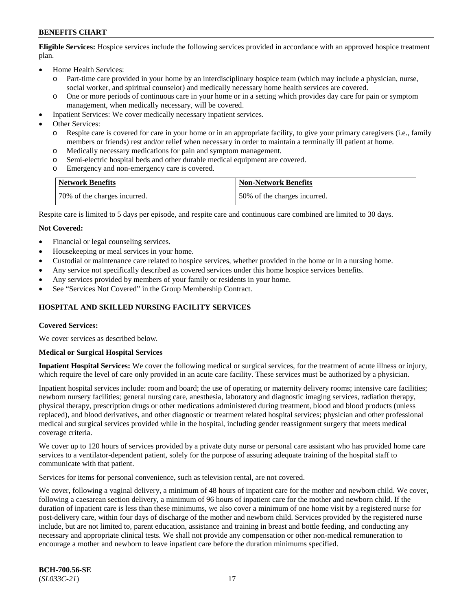**Eligible Services:** Hospice services include the following services provided in accordance with an approved hospice treatment plan.

- Home Health Services:
	- o Part-time care provided in your home by an interdisciplinary hospice team (which may include a physician, nurse, social worker, and spiritual counselor) and medically necessary home health services are covered.
	- o One or more periods of continuous care in your home or in a setting which provides day care for pain or symptom management, when medically necessary, will be covered.
- Inpatient Services: We cover medically necessary inpatient services.
- Other Services:
	- o Respite care is covered for care in your home or in an appropriate facility, to give your primary caregivers (i.e., family members or friends) rest and/or relief when necessary in order to maintain a terminally ill patient at home.
	- o Medically necessary medications for pain and symptom management.
	- Semi-electric hospital beds and other durable medical equipment are covered.
	- o Emergency and non-emergency care is covered.

| <b>Network Benefits</b>      | Non-Network Benefits         |
|------------------------------|------------------------------|
| 70% of the charges incurred. | 50% of the charges incurred. |

Respite care is limited to 5 days per episode, and respite care and continuous care combined are limited to 30 days.

#### **Not Covered:**

- Financial or legal counseling services.
- Housekeeping or meal services in your home.
- Custodial or maintenance care related to hospice services, whether provided in the home or in a nursing home.
- Any service not specifically described as covered services under this home hospice services benefits.
- Any services provided by members of your family or residents in your home.
- See "Services Not Covered" in the Group Membership Contract.

### **HOSPITAL AND SKILLED NURSING FACILITY SERVICES**

#### **Covered Services:**

We cover services as described below.

#### **Medical or Surgical Hospital Services**

**Inpatient Hospital Services:** We cover the following medical or surgical services, for the treatment of acute illness or injury, which require the level of care only provided in an acute care facility. These services must be authorized by a physician.

Inpatient hospital services include: room and board; the use of operating or maternity delivery rooms; intensive care facilities; newborn nursery facilities; general nursing care, anesthesia, laboratory and diagnostic imaging services, radiation therapy, physical therapy, prescription drugs or other medications administered during treatment, blood and blood products (unless replaced), and blood derivatives, and other diagnostic or treatment related hospital services; physician and other professional medical and surgical services provided while in the hospital, including gender reassignment surgery that meets medical coverage criteria.

We cover up to 120 hours of services provided by a private duty nurse or personal care assistant who has provided home care services to a ventilator-dependent patient, solely for the purpose of assuring adequate training of the hospital staff to communicate with that patient.

Services for items for personal convenience, such as television rental, are not covered.

We cover, following a vaginal delivery, a minimum of 48 hours of inpatient care for the mother and newborn child. We cover, following a caesarean section delivery, a minimum of 96 hours of inpatient care for the mother and newborn child. If the duration of inpatient care is less than these minimums, we also cover a minimum of one home visit by a registered nurse for post-delivery care, within four days of discharge of the mother and newborn child. Services provided by the registered nurse include, but are not limited to, parent education, assistance and training in breast and bottle feeding, and conducting any necessary and appropriate clinical tests. We shall not provide any compensation or other non-medical remuneration to encourage a mother and newborn to leave inpatient care before the duration minimums specified.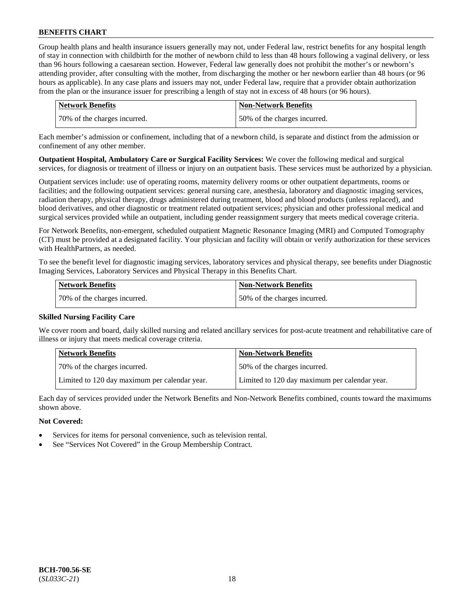Group health plans and health insurance issuers generally may not, under Federal law, restrict benefits for any hospital length of stay in connection with childbirth for the mother of newborn child to less than 48 hours following a vaginal delivery, or less than 96 hours following a caesarean section. However, Federal law generally does not prohibit the mother's or newborn's attending provider, after consulting with the mother, from discharging the mother or her newborn earlier than 48 hours (or 96 hours as applicable). In any case plans and issuers may not, under Federal law, require that a provider obtain authorization from the plan or the insurance issuer for prescribing a length of stay not in excess of 48 hours (or 96 hours).

| Network Benefits             | <b>Non-Network Benefits</b>  |
|------------------------------|------------------------------|
| 70% of the charges incurred. | 50% of the charges incurred. |

Each member's admission or confinement, including that of a newborn child, is separate and distinct from the admission or confinement of any other member.

**Outpatient Hospital, Ambulatory Care or Surgical Facility Services:** We cover the following medical and surgical services, for diagnosis or treatment of illness or injury on an outpatient basis. These services must be authorized by a physician.

Outpatient services include: use of operating rooms, maternity delivery rooms or other outpatient departments, rooms or facilities; and the following outpatient services: general nursing care, anesthesia, laboratory and diagnostic imaging services, radiation therapy, physical therapy, drugs administered during treatment, blood and blood products (unless replaced), and blood derivatives, and other diagnostic or treatment related outpatient services; physician and other professional medical and surgical services provided while an outpatient, including gender reassignment surgery that meets medical coverage criteria.

For Network Benefits, non-emergent, scheduled outpatient Magnetic Resonance Imaging (MRI) and Computed Tomography (CT) must be provided at a designated facility. Your physician and facility will obtain or verify authorization for these services with HealthPartners, as needed.

To see the benefit level for diagnostic imaging services, laboratory services and physical therapy, see benefits under Diagnostic Imaging Services, Laboratory Services and Physical Therapy in this Benefits Chart.

| Network Benefits             | <b>Non-Network Benefits</b>  |
|------------------------------|------------------------------|
| 70% of the charges incurred. | 50% of the charges incurred. |

### **Skilled Nursing Facility Care**

We cover room and board, daily skilled nursing and related ancillary services for post-acute treatment and rehabilitative care of illness or injury that meets medical coverage criteria.

| <b>Network Benefits</b>                       | <b>Non-Network Benefits</b>                   |
|-----------------------------------------------|-----------------------------------------------|
| 70% of the charges incurred.                  | 50% of the charges incurred.                  |
| Limited to 120 day maximum per calendar year. | Limited to 120 day maximum per calendar year. |

Each day of services provided under the Network Benefits and Non-Network Benefits combined, counts toward the maximums shown above.

### **Not Covered:**

- Services for items for personal convenience, such as television rental.
- See "Services Not Covered" in the Group Membership Contract.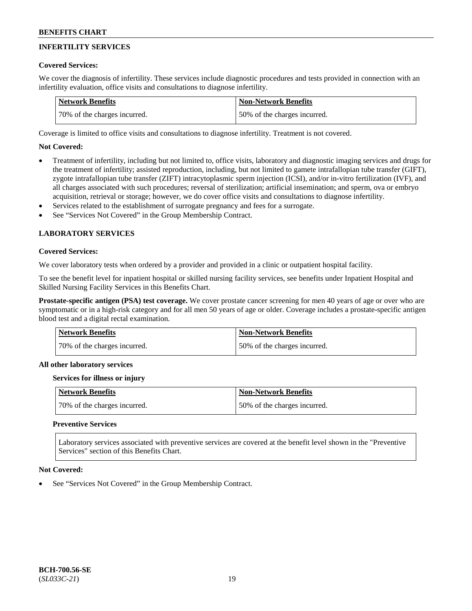## **INFERTILITY SERVICES**

### **Covered Services:**

We cover the diagnosis of infertility. These services include diagnostic procedures and tests provided in connection with an infertility evaluation, office visits and consultations to diagnose infertility.

| <b>Network Benefits</b>      | <b>Non-Network Benefits</b>  |
|------------------------------|------------------------------|
| 70% of the charges incurred. | 50% of the charges incurred. |

Coverage is limited to office visits and consultations to diagnose infertility. Treatment is not covered.

## **Not Covered:**

- Treatment of infertility, including but not limited to, office visits, laboratory and diagnostic imaging services and drugs for the treatment of infertility; assisted reproduction, including, but not limited to gamete intrafallopian tube transfer (GIFT), zygote intrafallopian tube transfer (ZIFT) intracytoplasmic sperm injection (ICSI), and/or in-vitro fertilization (IVF), and all charges associated with such procedures; reversal of sterilization; artificial insemination; and sperm, ova or embryo acquisition, retrieval or storage; however, we do cover office visits and consultations to diagnose infertility.
- Services related to the establishment of surrogate pregnancy and fees for a surrogate.
- See "Services Not Covered" in the Group Membership Contract.

## **LABORATORY SERVICES**

#### **Covered Services:**

We cover laboratory tests when ordered by a provider and provided in a clinic or outpatient hospital facility.

To see the benefit level for inpatient hospital or skilled nursing facility services, see benefits under Inpatient Hospital and Skilled Nursing Facility Services in this Benefits Chart.

**Prostate-specific antigen (PSA) test coverage.** We cover prostate cancer screening for men 40 years of age or over who are symptomatic or in a high-risk category and for all men 50 years of age or older. Coverage includes a prostate-specific antigen blood test and a digital rectal examination.

| <b>Network Benefits</b>      | <b>Non-Network Benefits</b>  |
|------------------------------|------------------------------|
| 70% of the charges incurred. | 50% of the charges incurred. |

#### **All other laboratory services**

#### **Services for illness or injury**

| Network Benefits             | <b>Non-Network Benefits</b>  |
|------------------------------|------------------------------|
| 70% of the charges incurred. | 50% of the charges incurred. |

### **Preventive Services**

Laboratory services associated with preventive services are covered at the benefit level shown in the "Preventive Services" section of this Benefits Chart.

#### **Not Covered:**

See "Services Not Covered" in the Group Membership Contract.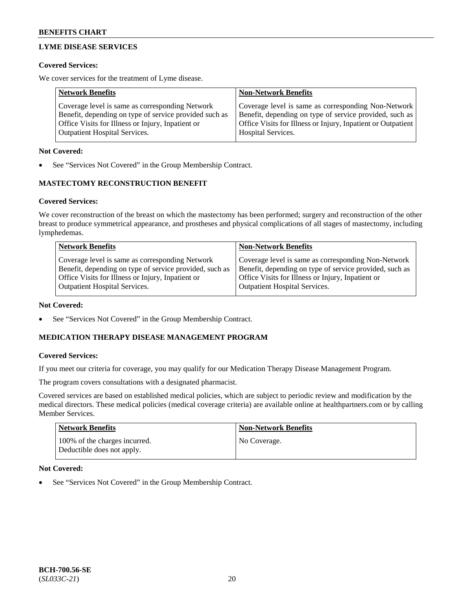## **LYME DISEASE SERVICES**

### **Covered Services:**

We cover services for the treatment of Lyme disease.

| <b>Network Benefits</b>                                | <b>Non-Network Benefits</b>                                  |
|--------------------------------------------------------|--------------------------------------------------------------|
| Coverage level is same as corresponding Network        | Coverage level is same as corresponding Non-Network          |
| Benefit, depending on type of service provided such as | Benefit, depending on type of service provided, such as      |
| Office Visits for Illness or Injury, Inpatient or      | Office Visits for Illness or Injury, Inpatient or Outpatient |
| <b>Outpatient Hospital Services.</b>                   | Hospital Services.                                           |

### **Not Covered:**

See "Services Not Covered" in the Group Membership Contract.

## **MASTECTOMY RECONSTRUCTION BENEFIT**

### **Covered Services:**

We cover reconstruction of the breast on which the mastectomy has been performed; surgery and reconstruction of the other breast to produce symmetrical appearance, and prostheses and physical complications of all stages of mastectomy, including lymphedemas.

| <b>Network Benefits</b>                                                                                                                                                                                 | <b>Non-Network Benefits</b>                                                                                                                                                                                 |
|---------------------------------------------------------------------------------------------------------------------------------------------------------------------------------------------------------|-------------------------------------------------------------------------------------------------------------------------------------------------------------------------------------------------------------|
| Coverage level is same as corresponding Network<br>Benefit, depending on type of service provided, such as<br>Office Visits for Illness or Injury, Inpatient or<br><b>Outpatient Hospital Services.</b> | Coverage level is same as corresponding Non-Network<br>Benefit, depending on type of service provided, such as<br>Office Visits for Illness or Injury, Inpatient or<br><b>Outpatient Hospital Services.</b> |
|                                                                                                                                                                                                         |                                                                                                                                                                                                             |

#### **Not Covered:**

See "Services Not Covered" in the Group Membership Contract.

## **MEDICATION THERAPY DISEASE MANAGEMENT PROGRAM**

### **Covered Services:**

If you meet our criteria for coverage, you may qualify for our Medication Therapy Disease Management Program.

The program covers consultations with a designated pharmacist.

Covered services are based on established medical policies, which are subject to periodic review and modification by the medical directors. These medical policies (medical coverage criteria) are available online at [healthpartners.com](https://www.healthpartners.com/hp/index.html) or by calling Member Services.

| <b>Network Benefits</b>                                     | <b>Non-Network Benefits</b> |
|-------------------------------------------------------------|-----------------------------|
| 100% of the charges incurred.<br>Deductible does not apply. | No Coverage.                |

### **Not Covered:**

See "Services Not Covered" in the Group Membership Contract.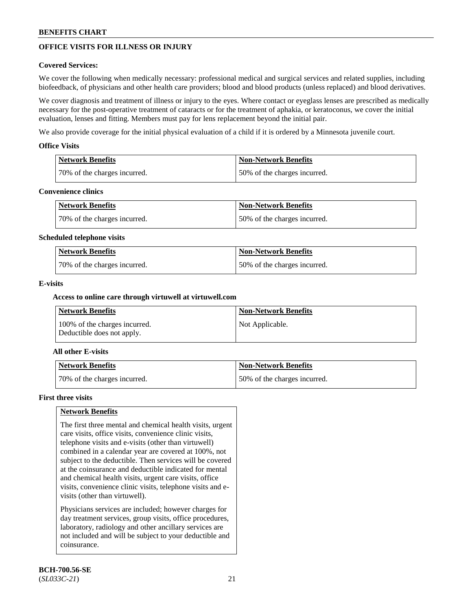## **OFFICE VISITS FOR ILLNESS OR INJURY**

### **Covered Services:**

We cover the following when medically necessary: professional medical and surgical services and related supplies, including biofeedback, of physicians and other health care providers; blood and blood products (unless replaced) and blood derivatives.

We cover diagnosis and treatment of illness or injury to the eyes. Where contact or eyeglass lenses are prescribed as medically necessary for the post-operative treatment of cataracts or for the treatment of aphakia, or keratoconus, we cover the initial evaluation, lenses and fitting. Members must pay for lens replacement beyond the initial pair.

We also provide coverage for the initial physical evaluation of a child if it is ordered by a Minnesota juvenile court.

### **Office Visits**

| <b>Network Benefits</b>      | <b>Non-Network Benefits</b>  |
|------------------------------|------------------------------|
| 70% of the charges incurred. | 50% of the charges incurred. |

#### **Convenience clinics**

| Network Benefits             | Non-Network Benefits         |
|------------------------------|------------------------------|
| 70% of the charges incurred. | 50% of the charges incurred. |

#### **Scheduled telephone visits**

| <b>Network Benefits</b>      | Non-Network Benefits         |
|------------------------------|------------------------------|
| 70% of the charges incurred. | 50% of the charges incurred. |

### **E-visits**

### **Access to online care through virtuwell at [virtuwell.com](https://www.virtuwell.com/)**

| Network Benefits                                            | <b>Non-Network Benefits</b> |
|-------------------------------------------------------------|-----------------------------|
| 100% of the charges incurred.<br>Deductible does not apply. | Not Applicable.             |

### **All other E-visits**

| Network Benefits             | <b>Non-Network Benefits</b>  |
|------------------------------|------------------------------|
| 70% of the charges incurred. | 50% of the charges incurred. |

#### **First three visits**

### **Network Benefits**

The first three mental and chemical health visits, urgent care visits, office visits, convenience clinic visits, telephone visits and e-visits (other than virtuwell) combined in a calendar year are covered at 100%, not subject to the deductible. Then services will be covered at the coinsurance and deductible indicated for mental and chemical health visits, urgent care visits, office visits, convenience clinic visits, telephone visits and evisits (other than virtuwell).

Physicians services are included; however charges for day treatment services, group visits, office procedures, laboratory, radiology and other ancillary services are not included and will be subject to your deductible and coinsurance.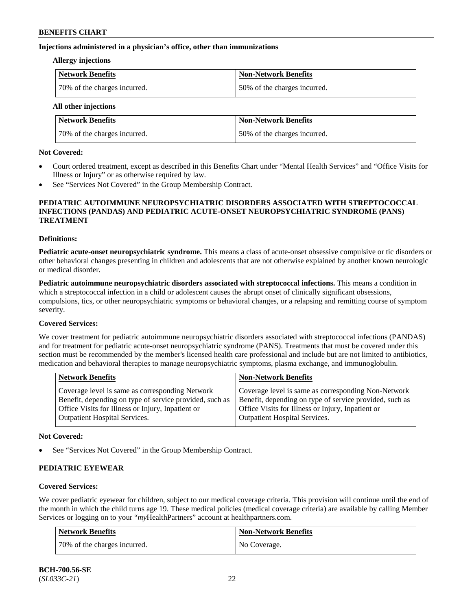#### **Injections administered in a physician's office, other than immunizations**

#### **Allergy injections**

| Network Benefits             | <b>Non-Network Benefits</b>  |
|------------------------------|------------------------------|
| 70% of the charges incurred. | 50% of the charges incurred. |

**All other injections**

| <b>Network Benefits</b>      | <b>Non-Network Benefits</b>  |
|------------------------------|------------------------------|
| 70% of the charges incurred. | 50% of the charges incurred. |

#### **Not Covered:**

- Court ordered treatment, except as described in this Benefits Chart under "Mental Health Services" and "Office Visits for Illness or Injury" or as otherwise required by law.
- See "Services Not Covered" in the Group Membership Contract.

### **PEDIATRIC AUTOIMMUNE NEUROPSYCHIATRIC DISORDERS ASSOCIATED WITH STREPTOCOCCAL INFECTIONS (PANDAS) AND PEDIATRIC ACUTE-ONSET NEUROPSYCHIATRIC SYNDROME (PANS) TREATMENT**

#### **Definitions:**

**Pediatric acute-onset neuropsychiatric syndrome.** This means a class of acute-onset obsessive compulsive or tic disorders or other behavioral changes presenting in children and adolescents that are not otherwise explained by another known neurologic or medical disorder.

**Pediatric autoimmune neuropsychiatric disorders associated with streptococcal infections.** This means a condition in which a streptococcal infection in a child or adolescent causes the abrupt onset of clinically significant obsessions, compulsions, tics, or other neuropsychiatric symptoms or behavioral changes, or a relapsing and remitting course of symptom severity.

#### **Covered Services:**

We cover treatment for pediatric autoimmune neuropsychiatric disorders associated with streptococcal infections (PANDAS) and for treatment for pediatric acute-onset neuropsychiatric syndrome (PANS). Treatments that must be covered under this section must be recommended by the member's licensed health care professional and include but are not limited to antibiotics, medication and behavioral therapies to manage neuropsychiatric symptoms, plasma exchange, and immunoglobulin.

|                                                                                                                                                                                                                                                                                                              | <b>Network Benefits</b><br><b>Non-Network Benefits</b>                                                 |  |
|--------------------------------------------------------------------------------------------------------------------------------------------------------------------------------------------------------------------------------------------------------------------------------------------------------------|--------------------------------------------------------------------------------------------------------|--|
| Benefit, depending on type of service provided, such as<br>Benefit, depending on type of service provided, such as<br>Office Visits for Illness or Injury, Inpatient or<br>Office Visits for Illness or Injury, Inpatient or<br><b>Outpatient Hospital Services.</b><br><b>Outpatient Hospital Services.</b> | Coverage level is same as corresponding Non-Network<br>Coverage level is same as corresponding Network |  |

#### **Not Covered:**

See "Services Not Covered" in the Group Membership Contract.

### **PEDIATRIC EYEWEAR**

### **Covered Services:**

We cover pediatric eyewear for children, subject to our medical coverage criteria. This provision will continue until the end of the month in which the child turns age 19. These medical policies (medical coverage criteria) are available by calling Member Services or logging on to your "*my*HealthPartners" account at [healthpartners.com.](https://www.healthpartners.com/hp/index.html)

| Network Benefits             | <b>Non-Network Benefits</b> |
|------------------------------|-----------------------------|
| 70% of the charges incurred. | No Coverage.                |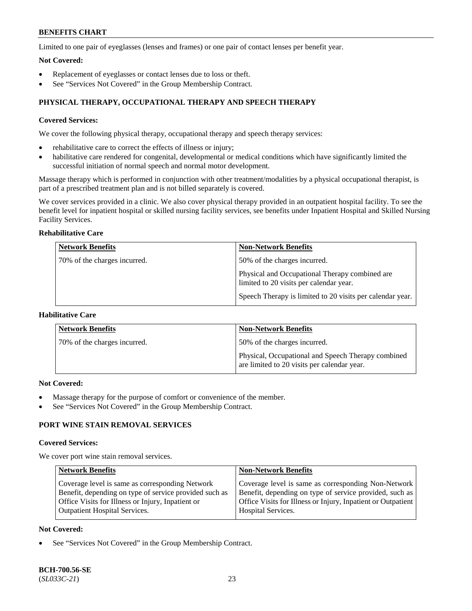Limited to one pair of eyeglasses (lenses and frames) or one pair of contact lenses per benefit year.

### **Not Covered:**

- Replacement of eyeglasses or contact lenses due to loss or theft.
- See "Services Not Covered" in the Group Membership Contract.

## **PHYSICAL THERAPY, OCCUPATIONAL THERAPY AND SPEECH THERAPY**

### **Covered Services:**

We cover the following physical therapy, occupational therapy and speech therapy services:

- rehabilitative care to correct the effects of illness or injury;
- habilitative care rendered for congenital, developmental or medical conditions which have significantly limited the successful initiation of normal speech and normal motor development.

Massage therapy which is performed in conjunction with other treatment/modalities by a physical occupational therapist, is part of a prescribed treatment plan and is not billed separately is covered.

We cover services provided in a clinic. We also cover physical therapy provided in an outpatient hospital facility. To see the benefit level for inpatient hospital or skilled nursing facility services, see benefits under Inpatient Hospital and Skilled Nursing Facility Services.

## **Rehabilitative Care**

| <b>Network Benefits</b>      | <b>Non-Network Benefits</b>                                                               |
|------------------------------|-------------------------------------------------------------------------------------------|
| 70% of the charges incurred. | 50% of the charges incurred.                                                              |
|                              | Physical and Occupational Therapy combined are<br>limited to 20 visits per calendar year. |
|                              | Speech Therapy is limited to 20 visits per calendar year.                                 |

## **Habilitative Care**

| <b>Network Benefits</b>      | <b>Non-Network Benefits</b>                                                                       |
|------------------------------|---------------------------------------------------------------------------------------------------|
| 70% of the charges incurred. | 50% of the charges incurred.                                                                      |
|                              | Physical, Occupational and Speech Therapy combined<br>are limited to 20 visits per calendar year. |

#### **Not Covered:**

- Massage therapy for the purpose of comfort or convenience of the member.
- See "Services Not Covered" in the Group Membership Contract.

## **PORT WINE STAIN REMOVAL SERVICES**

#### **Covered Services:**

We cover port wine stain removal services.

| <b>Network Benefits</b>                                | <b>Non-Network Benefits</b>                                  |
|--------------------------------------------------------|--------------------------------------------------------------|
| Coverage level is same as corresponding Network        | Coverage level is same as corresponding Non-Network          |
| Benefit, depending on type of service provided such as | Benefit, depending on type of service provided, such as      |
| Office Visits for Illness or Injury, Inpatient or      | Office Visits for Illness or Injury, Inpatient or Outpatient |
| <b>Outpatient Hospital Services.</b>                   | Hospital Services.                                           |

### **Not Covered:**

See "Services Not Covered" in the Group Membership Contract.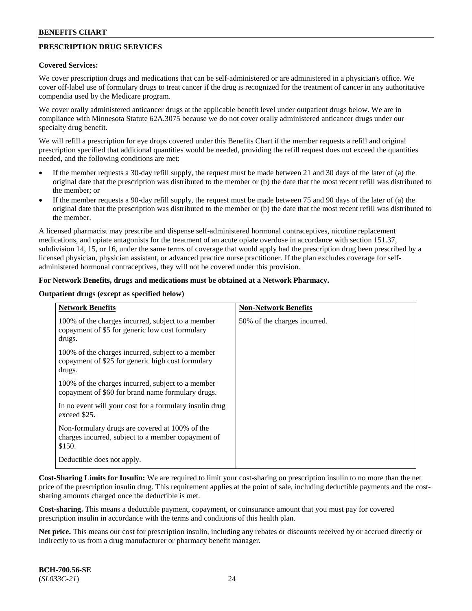## **PRESCRIPTION DRUG SERVICES**

#### **Covered Services:**

We cover prescription drugs and medications that can be self-administered or are administered in a physician's office. We cover off-label use of formulary drugs to treat cancer if the drug is recognized for the treatment of cancer in any authoritative compendia used by the Medicare program.

We cover orally administered anticancer drugs at the applicable benefit level under outpatient drugs below. We are in compliance with Minnesota Statute 62A.3075 because we do not cover orally administered anticancer drugs under our specialty drug benefit.

We will refill a prescription for eye drops covered under this Benefits Chart if the member requests a refill and original prescription specified that additional quantities would be needed, providing the refill request does not exceed the quantities needed, and the following conditions are met:

- If the member requests a 30-day refill supply, the request must be made between 21 and 30 days of the later of (a) the original date that the prescription was distributed to the member or (b) the date that the most recent refill was distributed to the member; or
- If the member requests a 90-day refill supply, the request must be made between 75 and 90 days of the later of (a) the original date that the prescription was distributed to the member or (b) the date that the most recent refill was distributed to the member.

A licensed pharmacist may prescribe and dispense self-administered hormonal contraceptives, nicotine replacement medications, and opiate antagonists for the treatment of an acute opiate overdose in accordance with section 151.37, subdivision 14, 15, or 16, under the same terms of coverage that would apply had the prescription drug been prescribed by a licensed physician, physician assistant, or advanced practice nurse practitioner. If the plan excludes coverage for selfadministered hormonal contraceptives, they will not be covered under this provision.

#### **For Network Benefits, drugs and medications must be obtained at a Network Pharmacy.**

#### **Outpatient drugs (except as specified below)**

| <b>Network Benefits</b>                                                                                          | <b>Non-Network Benefits</b>  |
|------------------------------------------------------------------------------------------------------------------|------------------------------|
| 100% of the charges incurred, subject to a member<br>copayment of \$5 for generic low cost formulary<br>drugs.   | 50% of the charges incurred. |
| 100% of the charges incurred, subject to a member<br>copayment of \$25 for generic high cost formulary<br>drugs. |                              |
| 100% of the charges incurred, subject to a member<br>copayment of \$60 for brand name formulary drugs.           |                              |
| In no event will your cost for a formulary insulin drug<br>exceed \$25.                                          |                              |
| Non-formulary drugs are covered at 100% of the<br>charges incurred, subject to a member copayment of<br>\$150.   |                              |
| Deductible does not apply.                                                                                       |                              |

**Cost-Sharing Limits for Insulin:** We are required to limit your cost-sharing on prescription insulin to no more than the net price of the prescription insulin drug. This requirement applies at the point of sale, including deductible payments and the costsharing amounts charged once the deductible is met.

**Cost-sharing.** This means a deductible payment, copayment, or coinsurance amount that you must pay for covered prescription insulin in accordance with the terms and conditions of this health plan.

**Net price.** This means our cost for prescription insulin, including any rebates or discounts received by or accrued directly or indirectly to us from a drug manufacturer or pharmacy benefit manager.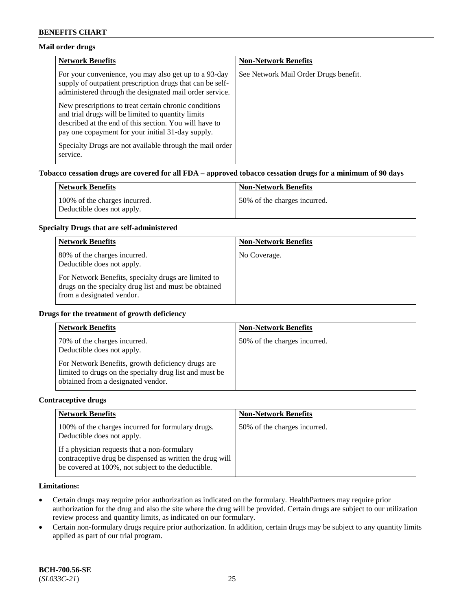### **Mail order drugs**

| <b>Network Benefits</b>                                                                                                                                                                                                    | <b>Non-Network Benefits</b>           |
|----------------------------------------------------------------------------------------------------------------------------------------------------------------------------------------------------------------------------|---------------------------------------|
| For your convenience, you may also get up to a 93-day<br>supply of outpatient prescription drugs that can be self-<br>administered through the designated mail order service.                                              | See Network Mail Order Drugs benefit. |
| New prescriptions to treat certain chronic conditions<br>and trial drugs will be limited to quantity limits<br>described at the end of this section. You will have to<br>pay one copayment for your initial 31-day supply. |                                       |
| Specialty Drugs are not available through the mail order<br>service.                                                                                                                                                       |                                       |

#### **Tobacco cessation drugs are covered for all FDA – approved tobacco cessation drugs for a minimum of 90 days**

| Network Benefits                                            | <b>Non-Network Benefits</b>   |
|-------------------------------------------------------------|-------------------------------|
| 100% of the charges incurred.<br>Deductible does not apply. | 150% of the charges incurred. |

#### **Specialty Drugs that are self-administered**

| <b>Network Benefits</b>                                                                                                                    | <b>Non-Network Benefits</b> |
|--------------------------------------------------------------------------------------------------------------------------------------------|-----------------------------|
| 80% of the charges incurred.<br>Deductible does not apply.                                                                                 | No Coverage.                |
| For Network Benefits, specialty drugs are limited to<br>drugs on the specialty drug list and must be obtained<br>from a designated vendor. |                             |

#### **Drugs for the treatment of growth deficiency**

| <b>Network Benefits</b>                                                                                                                            | <b>Non-Network Benefits</b>  |
|----------------------------------------------------------------------------------------------------------------------------------------------------|------------------------------|
| 70% of the charges incurred.<br>Deductible does not apply.                                                                                         | 50% of the charges incurred. |
| For Network Benefits, growth deficiency drugs are<br>limited to drugs on the specialty drug list and must be<br>obtained from a designated vendor. |                              |

#### **Contraceptive drugs**

| <b>Network Benefits</b>                                                                                                                                        | <b>Non-Network Benefits</b>  |
|----------------------------------------------------------------------------------------------------------------------------------------------------------------|------------------------------|
| 100% of the charges incurred for formulary drugs.<br>Deductible does not apply.                                                                                | 50% of the charges incurred. |
| If a physician requests that a non-formulary<br>contraceptive drug be dispensed as written the drug will<br>be covered at 100%, not subject to the deductible. |                              |

### **Limitations:**

- Certain drugs may require prior authorization as indicated on the formulary. HealthPartners may require prior authorization for the drug and also the site where the drug will be provided. Certain drugs are subject to our utilization review process and quantity limits, as indicated on our formulary.
- Certain non-formulary drugs require prior authorization. In addition, certain drugs may be subject to any quantity limits applied as part of our trial program.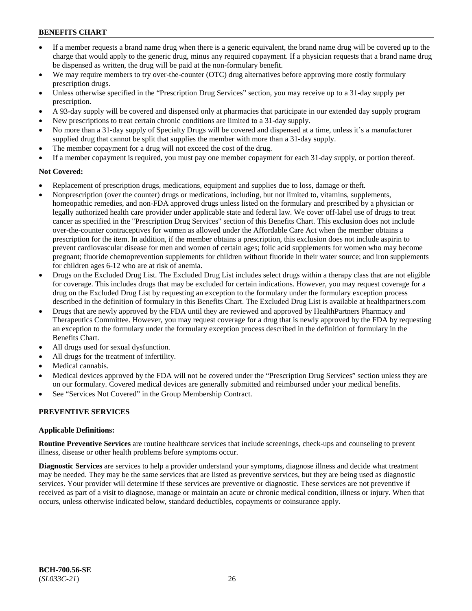- If a member requests a brand name drug when there is a generic equivalent, the brand name drug will be covered up to the charge that would apply to the generic drug, minus any required copayment. If a physician requests that a brand name drug be dispensed as written, the drug will be paid at the non-formulary benefit.
- We may require members to try over-the-counter (OTC) drug alternatives before approving more costly formulary prescription drugs.
- Unless otherwise specified in the "Prescription Drug Services" section, you may receive up to a 31-day supply per prescription.
- A 93-day supply will be covered and dispensed only at pharmacies that participate in our extended day supply program
- New prescriptions to treat certain chronic conditions are limited to a 31-day supply.
- No more than a 31-day supply of Specialty Drugs will be covered and dispensed at a time, unless it's a manufacturer supplied drug that cannot be split that supplies the member with more than a 31-day supply.
- The member copayment for a drug will not exceed the cost of the drug.
- If a member copayment is required, you must pay one member copayment for each 31-day supply, or portion thereof.

## **Not Covered:**

- Replacement of prescription drugs, medications, equipment and supplies due to loss, damage or theft.
- Nonprescription (over the counter) drugs or medications, including, but not limited to, vitamins, supplements, homeopathic remedies, and non-FDA approved drugs unless listed on the formulary and prescribed by a physician or legally authorized health care provider under applicable state and federal law. We cover off-label use of drugs to treat cancer as specified in the "Prescription Drug Services" section of this Benefits Chart. This exclusion does not include over-the-counter contraceptives for women as allowed under the Affordable Care Act when the member obtains a prescription for the item. In addition, if the member obtains a prescription, this exclusion does not include aspirin to prevent cardiovascular disease for men and women of certain ages; folic acid supplements for women who may become pregnant; fluoride chemoprevention supplements for children without fluoride in their water source; and iron supplements for children ages 6-12 who are at risk of anemia.
- Drugs on the Excluded Drug List. The Excluded Drug List includes select drugs within a therapy class that are not eligible for coverage. This includes drugs that may be excluded for certain indications. However, you may request coverage for a drug on the Excluded Drug List by requesting an exception to the formulary under the formulary exception process described in the definition of formulary in this Benefits Chart. The Excluded Drug List is available at [healthpartners.com](http://www.healthpartners.com/)
- Drugs that are newly approved by the FDA until they are reviewed and approved by HealthPartners Pharmacy and Therapeutics Committee. However, you may request coverage for a drug that is newly approved by the FDA by requesting an exception to the formulary under the formulary exception process described in the definition of formulary in the Benefits Chart.
- All drugs used for sexual dysfunction.
- All drugs for the treatment of infertility.
- Medical cannabis.
- Medical devices approved by the FDA will not be covered under the "Prescription Drug Services" section unless they are on our formulary. Covered medical devices are generally submitted and reimbursed under your medical benefits.
- See "Services Not Covered" in the Group Membership Contract.

## **PREVENTIVE SERVICES**

### **Applicable Definitions:**

**Routine Preventive Services** are routine healthcare services that include screenings, check-ups and counseling to prevent illness, disease or other health problems before symptoms occur.

**Diagnostic Services** are services to help a provider understand your symptoms, diagnose illness and decide what treatment may be needed. They may be the same services that are listed as preventive services, but they are being used as diagnostic services. Your provider will determine if these services are preventive or diagnostic. These services are not preventive if received as part of a visit to diagnose, manage or maintain an acute or chronic medical condition, illness or injury. When that occurs, unless otherwise indicated below, standard deductibles, copayments or coinsurance apply.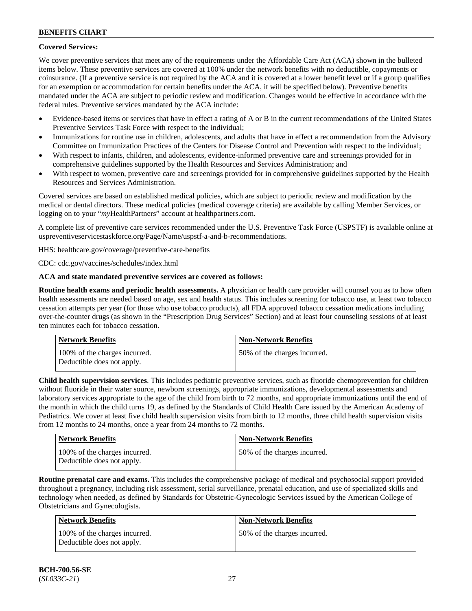## **Covered Services:**

We cover preventive services that meet any of the requirements under the Affordable Care Act (ACA) shown in the bulleted items below. These preventive services are covered at 100% under the network benefits with no deductible, copayments or coinsurance. (If a preventive service is not required by the ACA and it is covered at a lower benefit level or if a group qualifies for an exemption or accommodation for certain benefits under the ACA, it will be specified below). Preventive benefits mandated under the ACA are subject to periodic review and modification. Changes would be effective in accordance with the federal rules. Preventive services mandated by the ACA include:

- Evidence-based items or services that have in effect a rating of A or B in the current recommendations of the United States Preventive Services Task Force with respect to the individual;
- Immunizations for routine use in children, adolescents, and adults that have in effect a recommendation from the Advisory Committee on Immunization Practices of the Centers for Disease Control and Prevention with respect to the individual;
- With respect to infants, children, and adolescents, evidence-informed preventive care and screenings provided for in comprehensive guidelines supported by the Health Resources and Services Administration; and
- With respect to women, preventive care and screenings provided for in comprehensive guidelines supported by the Health Resources and Services Administration.

Covered services are based on established medical policies, which are subject to periodic review and modification by the medical or dental directors. These medical policies (medical coverage criteria) are available by calling Member Services, or logging on to your "*my*HealthPartners" account at [healthpartners.com.](http://www.healthpartners.com/)

A complete list of preventive care services recommended under the U.S. Preventive Task Force (USPSTF) is available online at [uspreventiveservicestaskforce.org/Page/Name/uspstf-a-and-b-recommendations.](https://www.uspreventiveservicestaskforce.org/Page/Name/uspstf-a-and-b-recommendations-by-date/)

HHS: [healthcare.gov/coverage/preventive-care-benefits](https://www.healthcare.gov/coverage/preventive-care-benefits/)

CDC: [cdc.gov/vaccines/schedules/index.html](https://www.cdc.gov/vaccines/schedules/index.html)

### **ACA and state mandated preventive services are covered as follows:**

**Routine health exams and periodic health assessments.** A physician or health care provider will counsel you as to how often health assessments are needed based on age, sex and health status. This includes screening for tobacco use, at least two tobacco cessation attempts per year (for those who use tobacco products), all FDA approved tobacco cessation medications including over-the-counter drugs (as shown in the "Prescription Drug Services" Section) and at least four counseling sessions of at least ten minutes each for tobacco cessation.

| Network Benefits                                            | <b>Non-Network Benefits</b>  |
|-------------------------------------------------------------|------------------------------|
| 100% of the charges incurred.<br>Deductible does not apply. | 50% of the charges incurred. |

**Child health supervision services**. This includes pediatric preventive services, such as fluoride chemoprevention for children without fluoride in their water source, newborn screenings, appropriate immunizations, developmental assessments and laboratory services appropriate to the age of the child from birth to 72 months, and appropriate immunizations until the end of the month in which the child turns 19, as defined by the Standards of Child Health Care issued by the American Academy of Pediatrics. We cover at least five child health supervision visits from birth to 12 months, three child health supervision visits from 12 months to 24 months, once a year from 24 months to 72 months.

| <b>Network Benefits</b>                                     | <b>Non-Network Benefits</b>  |
|-------------------------------------------------------------|------------------------------|
| 100% of the charges incurred.<br>Deductible does not apply. | 50% of the charges incurred. |

**Routine prenatal care and exams.** This includes the comprehensive package of medical and psychosocial support provided throughout a pregnancy, including risk assessment, serial surveillance, prenatal education, and use of specialized skills and technology when needed, as defined by Standards for Obstetric-Gynecologic Services issued by the American College of Obstetricians and Gynecologists.

| Network Benefits                                            | <b>Non-Network Benefits</b>  |
|-------------------------------------------------------------|------------------------------|
| 100% of the charges incurred.<br>Deductible does not apply. | 50% of the charges incurred. |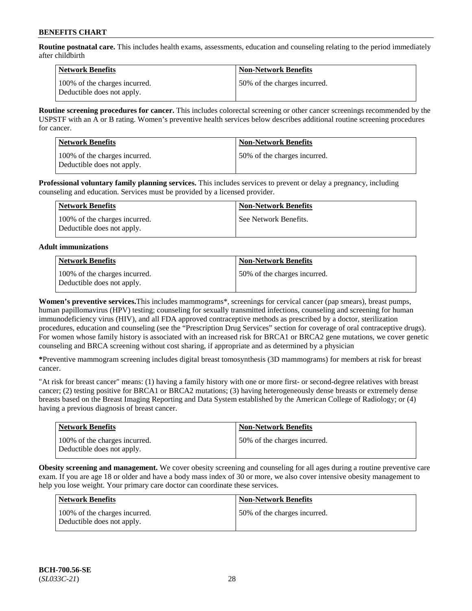**Routine postnatal care.** This includes health exams, assessments, education and counseling relating to the period immediately after childbirth

| Network Benefits                                            | <b>Non-Network Benefits</b>  |
|-------------------------------------------------------------|------------------------------|
| 100% of the charges incurred.<br>Deductible does not apply. | 50% of the charges incurred. |

**Routine screening procedures for cancer.** This includes colorectal screening or other cancer screenings recommended by the USPSTF with an A or B rating. Women's preventive health services below describes additional routine screening procedures for cancer.

| <b>Network Benefits</b>                                     | <b>Non-Network Benefits</b>  |
|-------------------------------------------------------------|------------------------------|
| 100% of the charges incurred.<br>Deductible does not apply. | 50% of the charges incurred. |

**Professional voluntary family planning services.** This includes services to prevent or delay a pregnancy, including counseling and education. Services must be provided by a licensed provider.

| Network Benefits                                            | <b>Non-Network Benefits</b> |
|-------------------------------------------------------------|-----------------------------|
| 100% of the charges incurred.<br>Deductible does not apply. | See Network Benefits.       |

### **Adult immunizations**

| <b>Network Benefits</b>                                     | <b>Non-Network Benefits</b>  |
|-------------------------------------------------------------|------------------------------|
| 100% of the charges incurred.<br>Deductible does not apply. | 50% of the charges incurred. |

**Women's preventive services.**This includes mammograms\*, screenings for cervical cancer (pap smears), breast pumps, human papillomavirus (HPV) testing; counseling for sexually transmitted infections, counseling and screening for human immunodeficiency virus (HIV), and all FDA approved contraceptive methods as prescribed by a doctor, sterilization procedures, education and counseling (see the "Prescription Drug Services" section for coverage of oral contraceptive drugs). For women whose family history is associated with an increased risk for BRCA1 or BRCA2 gene mutations, we cover genetic counseling and BRCA screening without cost sharing, if appropriate and as determined by a physician

**\***Preventive mammogram screening includes digital breast tomosynthesis (3D mammograms) for members at risk for breast cancer.

"At risk for breast cancer" means: (1) having a family history with one or more first- or second-degree relatives with breast cancer; (2) testing positive for BRCA1 or BRCA2 mutations; (3) having heterogeneously dense breasts or extremely dense breasts based on the Breast Imaging Reporting and Data System established by the American College of Radiology; or (4) having a previous diagnosis of breast cancer.

| <b>Network Benefits</b>                                     | <b>Non-Network Benefits</b>  |
|-------------------------------------------------------------|------------------------------|
| 100% of the charges incurred.<br>Deductible does not apply. | 50% of the charges incurred. |

**Obesity screening and management.** We cover obesity screening and counseling for all ages during a routine preventive care exam. If you are age 18 or older and have a body mass index of 30 or more, we also cover intensive obesity management to help you lose weight. Your primary care doctor can coordinate these services.

| <b>Network Benefits</b>                                     | <b>Non-Network Benefits</b>  |
|-------------------------------------------------------------|------------------------------|
| 100% of the charges incurred.<br>Deductible does not apply. | 50% of the charges incurred. |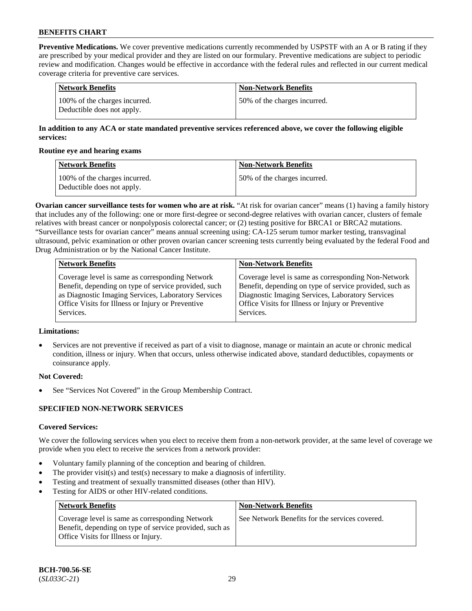**Preventive Medications.** We cover preventive medications currently recommended by USPSTF with an A or B rating if they are prescribed by your medical provider and they are listed on our formulary. Preventive medications are subject to periodic review and modification. Changes would be effective in accordance with the federal rules and reflected in our current medical coverage criteria for preventive care services.

| Network Benefits                                            | <b>Non-Network Benefits</b>  |
|-------------------------------------------------------------|------------------------------|
| 100% of the charges incurred.<br>Deductible does not apply. | 50% of the charges incurred. |

### **In addition to any ACA or state mandated preventive services referenced above, we cover the following eligible services:**

#### **Routine eye and hearing exams**

| <b>Network Benefits</b>                                     | <b>Non-Network Benefits</b>  |
|-------------------------------------------------------------|------------------------------|
| 100% of the charges incurred.<br>Deductible does not apply. | 50% of the charges incurred. |

**Ovarian cancer surveillance tests for women who are at risk.** "At risk for ovarian cancer" means (1) having a family history that includes any of the following: one or more first-degree or second-degree relatives with ovarian cancer, clusters of female relatives with breast cancer or nonpolyposis colorectal cancer; or (2) testing positive for BRCA1 or BRCA2 mutations. "Surveillance tests for ovarian cancer" means annual screening using: CA-125 serum tumor marker testing, transvaginal ultrasound, pelvic examination or other proven ovarian cancer screening tests currently being evaluated by the federal Food and Drug Administration or by the National Cancer Institute.

| <b>Network Benefits</b>                              | <b>Non-Network Benefits</b>                             |
|------------------------------------------------------|---------------------------------------------------------|
| Coverage level is same as corresponding Network      | Coverage level is same as corresponding Non-Network     |
| Benefit, depending on type of service provided, such | Benefit, depending on type of service provided, such as |
| as Diagnostic Imaging Services, Laboratory Services  | Diagnostic Imaging Services, Laboratory Services        |
| Office Visits for Illness or Injury or Preventive    | Office Visits for Illness or Injury or Preventive       |
| Services.                                            | Services.                                               |

## **Limitations:**

• Services are not preventive if received as part of a visit to diagnose, manage or maintain an acute or chronic medical condition, illness or injury. When that occurs, unless otherwise indicated above, standard deductibles, copayments or coinsurance apply.

### **Not Covered:**

See "Services Not Covered" in the Group Membership Contract.

### **SPECIFIED NON-NETWORK SERVICES**

### **Covered Services:**

We cover the following services when you elect to receive them from a non-network provider, at the same level of coverage we provide when you elect to receive the services from a network provider:

- Voluntary family planning of the conception and bearing of children.
- The provider visit(s) and test(s) necessary to make a diagnosis of infertility.
- Testing and treatment of sexually transmitted diseases (other than HIV).
- Testing for AIDS or other HIV-related conditions.

| <b>Network Benefits</b>                                                                                                                            | <b>Non-Network Benefits</b>                    |
|----------------------------------------------------------------------------------------------------------------------------------------------------|------------------------------------------------|
| Coverage level is same as corresponding Network<br>Benefit, depending on type of service provided, such as<br>Office Visits for Illness or Injury. | See Network Benefits for the services covered. |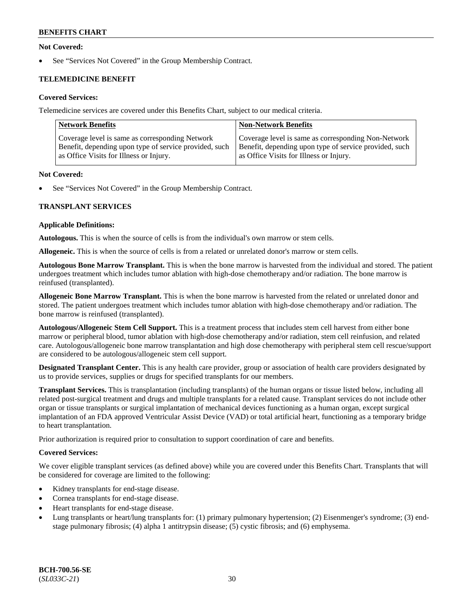### **Not Covered:**

See "Services Not Covered" in the Group Membership Contract.

## **TELEMEDICINE BENEFIT**

### **Covered Services:**

Telemedicine services are covered under this Benefits Chart, subject to our medical criteria.

| <b>Network Benefits</b>                                | <b>Non-Network Benefits</b>                            |
|--------------------------------------------------------|--------------------------------------------------------|
| Coverage level is same as corresponding Network        | Coverage level is same as corresponding Non-Network    |
| Benefit, depending upon type of service provided, such | Benefit, depending upon type of service provided, such |
| as Office Visits for Illness or Injury.                | as Office Visits for Illness or Injury.                |

#### **Not Covered:**

See "Services Not Covered" in the Group Membership Contract.

### **TRANSPLANT SERVICES**

#### **Applicable Definitions:**

**Autologous.** This is when the source of cells is from the individual's own marrow or stem cells.

**Allogeneic.** This is when the source of cells is from a related or unrelated donor's marrow or stem cells.

**Autologous Bone Marrow Transplant.** This is when the bone marrow is harvested from the individual and stored. The patient undergoes treatment which includes tumor ablation with high-dose chemotherapy and/or radiation. The bone marrow is reinfused (transplanted).

**Allogeneic Bone Marrow Transplant.** This is when the bone marrow is harvested from the related or unrelated donor and stored. The patient undergoes treatment which includes tumor ablation with high-dose chemotherapy and/or radiation. The bone marrow is reinfused (transplanted).

**Autologous/Allogeneic Stem Cell Support.** This is a treatment process that includes stem cell harvest from either bone marrow or peripheral blood, tumor ablation with high-dose chemotherapy and/or radiation, stem cell reinfusion, and related care. Autologous/allogeneic bone marrow transplantation and high dose chemotherapy with peripheral stem cell rescue/support are considered to be autologous/allogeneic stem cell support.

**Designated Transplant Center.** This is any health care provider, group or association of health care providers designated by us to provide services, supplies or drugs for specified transplants for our members.

**Transplant Services.** This is transplantation (including transplants) of the human organs or tissue listed below, including all related post-surgical treatment and drugs and multiple transplants for a related cause. Transplant services do not include other organ or tissue transplants or surgical implantation of mechanical devices functioning as a human organ, except surgical implantation of an FDA approved Ventricular Assist Device (VAD) or total artificial heart, functioning as a temporary bridge to heart transplantation.

Prior authorization is required prior to consultation to support coordination of care and benefits.

### **Covered Services:**

We cover eligible transplant services (as defined above) while you are covered under this Benefits Chart. Transplants that will be considered for coverage are limited to the following:

- Kidney transplants for end-stage disease.
- Cornea transplants for end-stage disease.
- Heart transplants for end-stage disease.
- Lung transplants or heart/lung transplants for: (1) primary pulmonary hypertension; (2) Eisenmenger's syndrome; (3) endstage pulmonary fibrosis; (4) alpha 1 antitrypsin disease; (5) cystic fibrosis; and (6) emphysema.